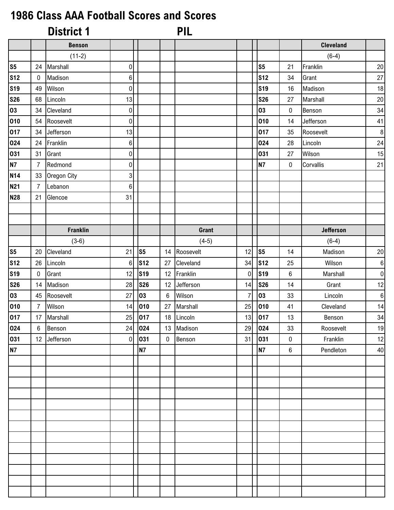## **1986 Class AAA Football Scores and Scores**

|                |                  | <b>District 1</b> |                           |            |                 | <b>PIL</b> |    |                |                  |                  |                  |
|----------------|------------------|-------------------|---------------------------|------------|-----------------|------------|----|----------------|------------------|------------------|------------------|
|                |                  | <b>Benson</b>     |                           |            |                 |            |    |                |                  | <b>Cleveland</b> |                  |
|                |                  | $(11-2)$          |                           |            |                 |            |    |                |                  | $(6-4)$          |                  |
| S <sub>5</sub> | 24               | Marshall          | $\pmb{0}$                 |            |                 |            |    | S <sub>5</sub> | 21               | Franklin         | $20\,$           |
| <b>S12</b>     | $\bf{0}$         | Madison           | $6 \mid$                  |            |                 |            |    | <b>S12</b>     | 34               | Grant            | $27\,$           |
| <b>S19</b>     | 49               | Wilson            | $\pmb{0}$                 |            |                 |            |    | <b>S19</b>     | 16               | Madison          | 18               |
| <b>S26</b>     | 68               | Lincoln           | 13                        |            |                 |            |    | <b>S26</b>     | 27               | Marshall         | $20\,$           |
| 03             | 34               | Cleveland         | $\pmb{0}$                 |            |                 |            |    | 03             | $\pmb{0}$        | Benson           | 34               |
| 010            | 54               | Roosevelt         | $\pmb{0}$                 |            |                 |            |    | 010            | 14               | Jefferson        | 41               |
| 017            | 34               | Jefferson         | 13                        |            |                 |            |    | 017            | 35               | Roosevelt        | $\bf 8$          |
| 024            | 24               | Franklin          | $6 \mid$                  |            |                 |            |    | 024            | 28               | Lincoln          | 24               |
| 031            | 31               | Grant             | $\overline{0}$            |            |                 |            |    | 031            | 27               | Wilson           | 15               |
| <b>N7</b>      | $\overline{7}$   | Redmond           | $\overline{0}$            |            |                 |            |    | <b>N7</b>      | $\bf{0}$         | Corvallis        | 21               |
| <b>N14</b>     | 33               | Oregon City       | $\ensuremath{\mathsf{3}}$ |            |                 |            |    |                |                  |                  |                  |
| <b>N21</b>     | $\overline{7}$   | Lebanon           | $\boldsymbol{6}$          |            |                 |            |    |                |                  |                  |                  |
| <b>N28</b>     | 21               | Glencoe           | 31                        |            |                 |            |    |                |                  |                  |                  |
|                |                  |                   |                           |            |                 |            |    |                |                  |                  |                  |
|                |                  |                   |                           |            |                 |            |    |                |                  |                  |                  |
|                |                  | <b>Franklin</b>   |                           |            |                 | Grant      |    |                |                  | <b>Jefferson</b> |                  |
|                |                  | $(3-6)$           |                           |            |                 | $(4-5)$    |    |                |                  | $(6-4)$          |                  |
| S <sub>5</sub> | 20               | Cleveland         | 21                        | S5         | 14              | Roosevelt  | 12 | S5             | 14               | Madison          | $20\,$           |
| <b>S12</b>     | 26               | Lincoln           | $\boldsymbol{6}$          | <b>S12</b> | 27              | Cleveland  | 34 | <b>S12</b>     | 25               | Wilson           | $\boldsymbol{6}$ |
| <b>S19</b>     | 0                | Grant             | 12                        | <b>S19</b> | 12              | Franklin   | 0  | <b>S19</b>     | 6                | Marshall         | $\pmb{0}$        |
| <b>S26</b>     | 14               | Madison           | 28                        | <b>S26</b> | 12              | Jefferson  | 14 | <b>S26</b>     | 14               | Grant            | 12               |
| 03             | 45               | Roosevelt         | 27                        | 03         | $6\phantom{1}6$ | Wilson     | 7  | 03             | 33               | Lincoln          | $\boldsymbol{6}$ |
| 010            | 7                | Wilson            | 14                        | 010        | 27              | Marshall   | 25 | 010            | 41               | Cleveland        | 14               |
| 017            | 17               | Marshall          | 25                        | 017        |                 | 18 Lincoln | 13 | 017            | 13               | Benson           | 34               |
| 024            | $\boldsymbol{6}$ | Benson            | 24                        | 024        | 13              | Madison    | 29 | 024            | 33               | Roosevelt        | 19               |
| 031            | 12               | Jefferson         | $\mathbf 0$               | 031        | 0               | Benson     | 31 | 031            | $\pmb{0}$        | Franklin         | 12               |
| <b>N7</b>      |                  |                   |                           | <b>N7</b>  |                 |            |    | <b>N7</b>      | $\boldsymbol{6}$ | Pendleton        | 40               |
|                |                  |                   |                           |            |                 |            |    |                |                  |                  |                  |
|                |                  |                   |                           |            |                 |            |    |                |                  |                  |                  |
|                |                  |                   |                           |            |                 |            |    |                |                  |                  |                  |
|                |                  |                   |                           |            |                 |            |    |                |                  |                  |                  |
|                |                  |                   |                           |            |                 |            |    |                |                  |                  |                  |
|                |                  |                   |                           |            |                 |            |    |                |                  |                  |                  |
|                |                  |                   |                           |            |                 |            |    |                |                  |                  |                  |
|                |                  |                   |                           |            |                 |            |    |                |                  |                  |                  |
|                |                  |                   |                           |            |                 |            |    |                |                  |                  |                  |
|                |                  |                   |                           |            |                 |            |    |                |                  |                  |                  |
|                |                  |                   |                           |            |                 |            |    |                |                  |                  |                  |
|                |                  |                   |                           |            |                 |            |    |                |                  |                  |                  |
|                |                  |                   |                           |            |                 |            |    |                |                  |                  |                  |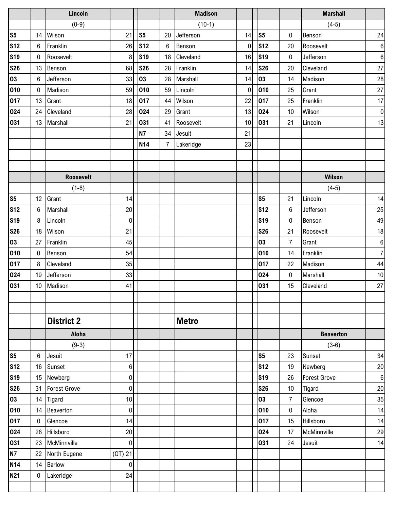| $(0-9)$<br>$(10-1)$<br>S <sub>5</sub><br>S <sub>5</sub><br>S5<br>Wilson<br>21<br>Jefferson<br>14<br>$\pmb{0}$<br>14<br>20<br><b>S12</b><br><b>S12</b><br><b>S12</b><br>Franklin<br>26<br>Benson<br>$\mathbf 0$<br>20<br>6<br>6<br><b>S19</b><br><b>S19</b><br><b>S19</b><br>Roosevelt<br>8<br>Cleveland<br>16<br>$\mathbf 0$<br>0<br>18<br><b>S26</b><br><b>S26</b><br><b>S26</b><br>68<br>Franklin<br>13<br>Benson<br>28<br>14<br>20 | $(4-5)$<br>24<br>Benson<br>$\boldsymbol{6}$<br>Roosevelt<br>$\boldsymbol{6}$<br>Jefferson<br>$27\,$<br>Cleveland<br>Madison<br>28<br>$27\,$<br>Grant |
|---------------------------------------------------------------------------------------------------------------------------------------------------------------------------------------------------------------------------------------------------------------------------------------------------------------------------------------------------------------------------------------------------------------------------------------|------------------------------------------------------------------------------------------------------------------------------------------------------|
|                                                                                                                                                                                                                                                                                                                                                                                                                                       |                                                                                                                                                      |
|                                                                                                                                                                                                                                                                                                                                                                                                                                       |                                                                                                                                                      |
|                                                                                                                                                                                                                                                                                                                                                                                                                                       |                                                                                                                                                      |
|                                                                                                                                                                                                                                                                                                                                                                                                                                       |                                                                                                                                                      |
|                                                                                                                                                                                                                                                                                                                                                                                                                                       |                                                                                                                                                      |
| 03<br>03<br>33<br>03<br>Jefferson<br>Marshall<br>14<br>6<br>28<br>14                                                                                                                                                                                                                                                                                                                                                                  |                                                                                                                                                      |
| 010<br>010<br>010<br>Madison<br>59<br>Lincoln<br>$\overline{0}$<br>$\mathbf 0$<br>59<br>25                                                                                                                                                                                                                                                                                                                                            |                                                                                                                                                      |
| 017<br>017<br>017<br>22<br>Grant<br>18<br>Wilson<br>25<br>13<br>44                                                                                                                                                                                                                                                                                                                                                                    | Franklin<br>17                                                                                                                                       |
| 024<br>024<br>024<br>Cleveland<br>28<br>29<br>Grant<br>13<br>10<br>24                                                                                                                                                                                                                                                                                                                                                                 | Wilson<br>$\pmb{0}$                                                                                                                                  |
| 031<br>031<br>Marshall<br>031<br>Roosevelt<br>21<br>10<br>13<br>41<br>21                                                                                                                                                                                                                                                                                                                                                              | 13<br>Lincoln                                                                                                                                        |
| <b>N7</b><br>21<br>34<br>Jesuit                                                                                                                                                                                                                                                                                                                                                                                                       |                                                                                                                                                      |
| <b>N14</b><br>Lakeridge<br>23<br>7                                                                                                                                                                                                                                                                                                                                                                                                    |                                                                                                                                                      |
|                                                                                                                                                                                                                                                                                                                                                                                                                                       |                                                                                                                                                      |
|                                                                                                                                                                                                                                                                                                                                                                                                                                       |                                                                                                                                                      |
| <b>Roosevelt</b>                                                                                                                                                                                                                                                                                                                                                                                                                      | Wilson                                                                                                                                               |
| $(1-8)$                                                                                                                                                                                                                                                                                                                                                                                                                               | $(4-5)$                                                                                                                                              |
| S <sub>5</sub><br>S <sub>5</sub><br>12<br>Grant<br>14<br>21                                                                                                                                                                                                                                                                                                                                                                           | 14<br>Lincoln                                                                                                                                        |
| <b>S12</b><br><b>S12</b><br>20<br>Marshall<br>$\,6$<br>6                                                                                                                                                                                                                                                                                                                                                                              | 25<br>Jefferson                                                                                                                                      |
| <b>S19</b><br><b>S19</b><br>8<br>Lincoln<br>0<br>$\pmb{0}$                                                                                                                                                                                                                                                                                                                                                                            | 49<br>Benson                                                                                                                                         |
| <b>S26</b><br>Wilson<br><b>S26</b><br>21<br>18<br>21                                                                                                                                                                                                                                                                                                                                                                                  | Roosevelt<br>18                                                                                                                                      |
| 03<br>03<br>Franklin<br>45<br>27<br>$\overline{7}$                                                                                                                                                                                                                                                                                                                                                                                    | Grant<br>$\,6\,$                                                                                                                                     |
| 010<br>010<br>54<br>Benson<br>14<br>0                                                                                                                                                                                                                                                                                                                                                                                                 | $\boldsymbol{7}$<br>Franklin                                                                                                                         |
| 017<br>017<br>35<br>Cleveland<br>8<br>22                                                                                                                                                                                                                                                                                                                                                                                              | Madison<br>44                                                                                                                                        |
| 024<br>024<br>33<br>Jefferson<br>$\pmb{0}$<br>19                                                                                                                                                                                                                                                                                                                                                                                      | $10$<br>Marshall                                                                                                                                     |
| 031<br>031<br>Madison<br>41<br>15<br>10                                                                                                                                                                                                                                                                                                                                                                                               | Cleveland<br>$27\,$                                                                                                                                  |
|                                                                                                                                                                                                                                                                                                                                                                                                                                       |                                                                                                                                                      |
|                                                                                                                                                                                                                                                                                                                                                                                                                                       |                                                                                                                                                      |
| <b>Metro</b><br><b>District 2</b>                                                                                                                                                                                                                                                                                                                                                                                                     |                                                                                                                                                      |
| Aloha                                                                                                                                                                                                                                                                                                                                                                                                                                 | <b>Beaverton</b>                                                                                                                                     |
| $(9-3)$                                                                                                                                                                                                                                                                                                                                                                                                                               | $(3-6)$                                                                                                                                              |
| S <sub>5</sub><br>S <sub>5</sub><br>6<br>Jesuit<br>17<br>23                                                                                                                                                                                                                                                                                                                                                                           | 34<br>Sunset                                                                                                                                         |
| <b>S12</b><br><b>S12</b><br>Sunset<br>16<br>19<br>6                                                                                                                                                                                                                                                                                                                                                                                   | Newberg<br>20                                                                                                                                        |
| <b>S19</b><br><b>S19</b><br>Newberg<br>$\pmb{0}$<br>15<br>26                                                                                                                                                                                                                                                                                                                                                                          | <b>Forest Grove</b><br>$\boldsymbol{6}$                                                                                                              |
| <b>S26</b><br><b>Forest Grove</b><br><b>S26</b><br>$\boldsymbol{0}$<br>31<br>10                                                                                                                                                                                                                                                                                                                                                       | Tigard<br>20                                                                                                                                         |
| 03<br>03<br>14<br>Tigard<br>10<br>$\overline{7}$                                                                                                                                                                                                                                                                                                                                                                                      | Glencoe<br>35                                                                                                                                        |
| Beaverton<br>010<br>010<br>$\pmb{0}$<br>14<br>$\pmb{0}$                                                                                                                                                                                                                                                                                                                                                                               | Aloha<br>14                                                                                                                                          |
| 017<br>Glencoe<br>017<br>15<br>0<br>14                                                                                                                                                                                                                                                                                                                                                                                                | Hillsboro<br>14                                                                                                                                      |
| 024<br>Hillsboro<br>20<br>024<br>28<br>17                                                                                                                                                                                                                                                                                                                                                                                             | McMinnville<br>29                                                                                                                                    |
| 031<br>031<br>McMinnville<br>$\overline{0}$<br>23<br>24                                                                                                                                                                                                                                                                                                                                                                               | 14<br>Jesuit                                                                                                                                         |
| $(0T)$ 21<br><b>N7</b><br>North Eugene<br>22                                                                                                                                                                                                                                                                                                                                                                                          |                                                                                                                                                      |
| <b>N14</b><br><b>Barlow</b><br>14<br>$\pmb{0}$                                                                                                                                                                                                                                                                                                                                                                                        |                                                                                                                                                      |
| <b>N21</b><br>Lakeridge<br>24<br>$\mathbf 0$                                                                                                                                                                                                                                                                                                                                                                                          |                                                                                                                                                      |
|                                                                                                                                                                                                                                                                                                                                                                                                                                       |                                                                                                                                                      |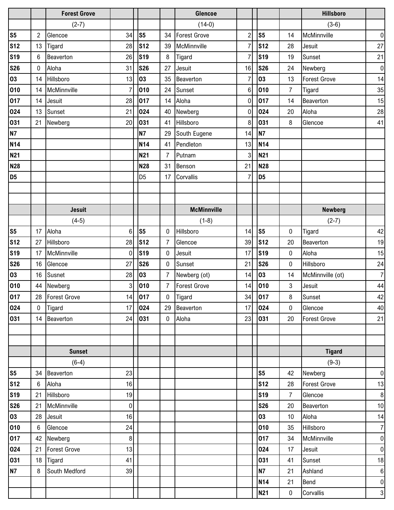|                |                 | <b>Forest Grove</b> |                 |                |                | Glencoe             |                |                |                | <b>Hillsboro</b>    |                  |
|----------------|-----------------|---------------------|-----------------|----------------|----------------|---------------------|----------------|----------------|----------------|---------------------|------------------|
|                |                 | $(2-7)$             |                 |                |                | $(14-0)$            |                |                |                | $(3-6)$             |                  |
| S <sub>5</sub> | $\overline{c}$  | Glencoe             | 34              | S <sub>5</sub> | 34             | <b>Forest Grove</b> | $\overline{a}$ | s <sub>5</sub> | 14             | McMinnville         | $\mathbf 0$      |
| <b>S12</b>     | 13              | Tigard              | 28              | <b>S12</b>     | 39             | McMinnville         | 7              | <b>S12</b>     | 28             | Jesuit              | 27               |
| <b>S19</b>     | 6               | Beaverton           | 26              | <b>S19</b>     | 8              | Tigard              |                | <b>S19</b>     | 19             | Sunset              | 21               |
| <b>S26</b>     | 0               | Aloha               | 31              | <b>S26</b>     | 27             | Jesuit              | 16             | <b>S26</b>     | 24             | Newberg             | $\pmb{0}$        |
| 03             | 14              | Hillsboro           | 13              | 03             | 35             | Beaverton           |                | 03             | 13             | <b>Forest Grove</b> | 14               |
| 010            | 14              | McMinnville         | $\overline{7}$  | 010            | 24             | Sunset              | 6              | 010            | $\overline{7}$ | Tigard              | 35               |
| 017            | 14              | Jesuit              | 28              | 017            | 14             | Aloha               | 0              | 017            | 14             | Beaverton           | 15               |
| 024            | 13              | Sunset              | 21              | 024            | 40             | Newberg             | 0              | 024            | 20             | Aloha               | 28               |
| 031            | 21              | Newberg             | 20              | 031            | 41             | Hillsboro           | 8              | 031            | 8              | Glencoe             | 41               |
| <b>N7</b>      |                 |                     |                 | <b>N7</b>      | 29             | South Eugene        | 14             | <b>N7</b>      |                |                     |                  |
| <b>N14</b>     |                 |                     |                 | <b>N14</b>     | 41             | Pendleton           | 13             | <b>N14</b>     |                |                     |                  |
| <b>N21</b>     |                 |                     |                 | <b>N21</b>     | 7              | Putnam              | 3              | <b>N21</b>     |                |                     |                  |
| <b>N28</b>     |                 |                     |                 | <b>N28</b>     | 31             | Benson              | 21             | <b>N28</b>     |                |                     |                  |
| D <sub>5</sub> |                 |                     |                 | D <sub>5</sub> | 17             | Corvallis           | 7              | D <sub>5</sub> |                |                     |                  |
|                |                 |                     |                 |                |                |                     |                |                |                |                     |                  |
|                |                 |                     |                 |                |                |                     |                |                |                |                     |                  |
|                |                 | <b>Jesuit</b>       |                 |                |                | <b>McMinnville</b>  |                |                |                | <b>Newberg</b>      |                  |
|                |                 | $(4-5)$             |                 |                |                | $(1-8)$             |                |                |                | $(2-7)$             |                  |
| S <sub>5</sub> | 17              | Aloha               | 6               | S <sub>5</sub> | $\mathbf{0}$   | Hillsboro           | 14             | S <sub>5</sub> | 0              | Tigard              | 42               |
| <b>S12</b>     | 27              | Hillsboro           | 28              | <b>S12</b>     | 7              | Glencoe             | 39             | <b>S12</b>     | 20             | Beaverton           | 19               |
| <b>S19</b>     | 17              | McMinnville         | 0               | <b>S19</b>     | 0              | Jesuit              | 17             | <b>S19</b>     | 0              | Aloha               | 15               |
| <b>S26</b>     | 16              | Glencoe             | 27              | <b>S26</b>     | $\mathbf{0}$   | Sunset              | 21             | <b>S26</b>     | 0              | Hillsboro           | 24               |
| 03             | 16              | Susnet              | 28              | 03             | 7              | Newberg (ot)        | 14             | 03             | 14             | McMinnville (ot)    | $\overline{7}$   |
| 010            | 44              | Newberg             | 3               | 010            | $\overline{7}$ | <b>Forest Grove</b> | 14             | 010            | 3              | Jesuit              | 44               |
| 017            | 28              | Forest Grove        | 14              | 017            | 0              | Tigard              |                | 34 017         | 8              | Sunset              | 42               |
| 024            | $\mathbf{0}$    | Tigard              | 17 <sup>1</sup> | 024            |                | 29 Beaverton        | 17             | 024            | $\mathbf 0$    | Glencoe             | 40               |
| 031            |                 | 14 Beaverton        | 24              | 031            | $\mathbf 0$    | Aloha               | 23             | 031            | 20             | <b>Forest Grove</b> | 21               |
|                |                 |                     |                 |                |                |                     |                |                |                |                     |                  |
|                |                 |                     |                 |                |                |                     |                |                |                |                     |                  |
|                |                 | <b>Sunset</b>       |                 |                |                |                     |                |                |                | <b>Tigard</b>       |                  |
|                |                 | $(6-4)$             |                 |                |                |                     |                |                |                | $(9-3)$             |                  |
| S <sub>5</sub> |                 | 34 Beaverton        | 23              |                |                |                     |                | S <sub>5</sub> | 42             | Newberg             | $\boldsymbol{0}$ |
| <b>S12</b>     | 6               | Aloha               | 16              |                |                |                     |                | <b>S12</b>     | 28             | <b>Forest Grove</b> | 13               |
| <b>S19</b>     |                 | 21 Hillsboro        | 19              |                |                |                     |                | <b>S19</b>     | $\overline{7}$ | Glencoe             | 8                |
| <b>S26</b>     |                 | 21 McMinnville      | $\overline{0}$  |                |                |                     |                | <b>S26</b>     | 20             | Beaverton           | 10               |
| 03             |                 | 28 Jesuit           | 16              |                |                |                     |                | 03             | 10             | Aloha               | 14               |
| 010            | $6\overline{6}$ | Glencoe             | 24              |                |                |                     |                | 010            | 35             | Hillsboro           | $\overline{7}$   |
| 017            |                 | 42 Newberg          | 8               |                |                |                     |                | 017            | 34             | McMinnville         | $\boldsymbol{0}$ |
| 024            |                 | 21 Forest Grove     | 13              |                |                |                     |                | 024            | 17             | Jesuit              | $\pmb{0}$        |
| 031            |                 | 18 Tigard           | 41              |                |                |                     |                | 031            | 41             | Sunset              | 18               |
| <b>N7</b>      | 8               | South Medford       | 39              |                |                |                     |                | <b>N7</b>      | 21             | Ashland             | $\,6\,$          |
|                |                 |                     |                 |                |                |                     |                | <b>N14</b>     | 21             | Bend                | $\boldsymbol{0}$ |
|                |                 |                     |                 |                |                |                     |                | <b>N21</b>     | 0              | Corvallis           | $\mathbf{3}$     |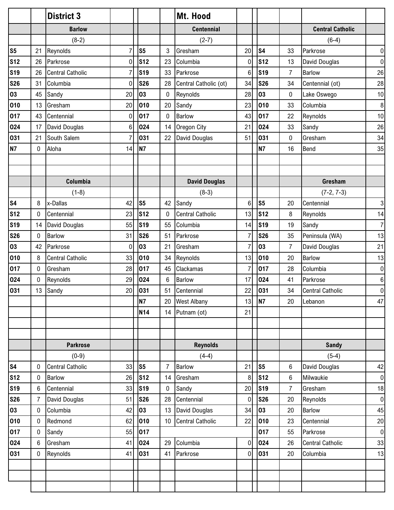|                |              | <b>District 3</b>       |                 |                |                 | Mt. Hood                |    |                |                |                         |                  |
|----------------|--------------|-------------------------|-----------------|----------------|-----------------|-------------------------|----|----------------|----------------|-------------------------|------------------|
|                |              | <b>Barlow</b>           |                 |                |                 | <b>Centennial</b>       |    |                |                | <b>Central Catholic</b> |                  |
|                |              | $(8-2)$                 |                 |                |                 | $(2-7)$                 |    |                |                | $(6-4)$                 |                  |
| S <sub>5</sub> | 21           | Reynolds                | $\overline{7}$  | S <sub>5</sub> | 3               | Gresham                 | 20 | S <sub>4</sub> | 33             | Parkrose                | $\mathbf 0$      |
| <b>S12</b>     | 26           | Parkrose                | $\overline{0}$  | <b>S12</b>     | 23              | Columbia                | 0  | <b>S12</b>     | 13             | David Douglas           | 0                |
| <b>S19</b>     | 26           | <b>Central Catholic</b> | $\overline{7}$  | <b>S19</b>     | 33              | Parkrose                | 6  | <b>S19</b>     | $\overline{7}$ | <b>Barlow</b>           | 26               |
| <b>S26</b>     | 31           | Columbia                | $\mathbf 0$     | <b>S26</b>     | 28              | Central Catholic (ot)   | 34 | <b>S26</b>     | 34             | Centennial (ot)         | 28               |
| 03             | 45           | Sandy                   | 20              | 03             | $\mathbf 0$     | Reynolds                | 28 | 03             | 0              | Lake Oswego             | 10               |
| 010            | 13           | Gresham                 | 20              | 010            | 20              | Sandy                   | 23 | 010            | 33             | Columbia                | $\,8\,$          |
| 017            | 43           | Centennial              | $\mathbf 0$     | 017            | $\mathbf{0}$    | <b>Barlow</b>           | 43 | 017            | 22             | Reynolds                | 10               |
| 024            | 17           | David Douglas           | $6 \,$          | 024            | 14              | Oregon City             | 21 | 024            | 33             | Sandy                   | 26               |
| 031            | 21           | South Salem             | $\overline{7}$  | 031            | 22              | David Douglas           | 51 | 031            | 0              | Gresham                 | 34               |
| <b>N7</b>      | $\mathbf 0$  | Aloha                   | 14              | N7             |                 |                         |    | <b>N7</b>      | 16             | Bend                    | 35               |
|                |              |                         |                 |                |                 |                         |    |                |                |                         |                  |
|                |              |                         |                 |                |                 |                         |    |                |                |                         |                  |
|                |              | Columbia                |                 |                |                 | <b>David Douglas</b>    |    |                |                | Gresham                 |                  |
|                |              | $(1-8)$                 |                 |                |                 | $(8-3)$                 |    |                |                | $(7-2, 7-3)$            |                  |
| s <sub>4</sub> | 8            | x-Dallas                | 42              | S <sub>5</sub> | 42              | Sandy                   | 6  | S <sub>5</sub> | 20             | Centennial              | 3                |
| <b>S12</b>     | $\mathbf 0$  | Centennial              | 23              | <b>S12</b>     | $\mathbf{0}$    | <b>Central Catholic</b> | 13 | <b>S12</b>     | 8              | Reynolds                | 14               |
| <b>S19</b>     | 14           | David Douglas           | 55              | <b>S19</b>     | 55              | Columbia                | 14 | <b>S19</b>     | 19             | Sandy                   | $\overline{7}$   |
| <b>S26</b>     | $\mathbf{0}$ | Barlow                  | 31              | <b>S26</b>     | 51              | Parkrose                | 7  | <b>S26</b>     | 35             | Peninsula (WA)          | 13               |
| 03             | 42           | Parkrose                | $\overline{0}$  | 03             | 21              | Gresham                 | 7  | 03             | $\overline{7}$ | David Douglas           | 21               |
| 010            | 8            | <b>Central Catholic</b> | 33              | 010            | 34              | Reynolds                | 13 | 010            | 20             | <b>Barlow</b>           | 13               |
| 017            | $\mathbf 0$  | Gresham                 | 28              | 017            | 45              | Clackamas               | 7  | 017            | 28             | Columbia                | $\mathbf 0$      |
| 024            | 0            | Reynolds                | 29              | 024            | 6               | Barlow                  | 17 | 024            | 41             | Parkrose                | $\boldsymbol{6}$ |
| 031            | 13           | Sandy                   | 20 <sub>l</sub> | 031            | 51              | Centennial              | 22 | 031            | 34             | <b>Central Catholic</b> | $\boldsymbol{0}$ |
|                |              |                         |                 | N7             | 20              | <b>West Albany</b>      | 13 | N7             | 20             | Lebanon                 | 47               |
|                |              |                         |                 | <b>N14</b>     |                 | 14 Putnam (ot)          | 21 |                |                |                         |                  |
|                |              |                         |                 |                |                 |                         |    |                |                |                         |                  |
|                |              |                         |                 |                |                 |                         |    |                |                |                         |                  |
|                |              | <b>Parkrose</b>         |                 |                |                 | <b>Reynolds</b>         |    |                |                | <b>Sandy</b>            |                  |
|                |              | $(0-9)$                 |                 |                |                 | $(4-4)$                 |    |                |                | $(5-4)$                 |                  |
| <b>S4</b>      | 0            | <b>Central Catholic</b> | 33              | S5             | 7               | Barlow                  | 21 | S <sub>5</sub> | 6              | David Douglas           | 42               |
| <b>S12</b>     | $\pmb{0}$    | <b>Barlow</b>           | 26              | <b>S12</b>     | 14              | Gresham                 | 8  | <b>S12</b>     | 6              | Milwaukie               | $\boldsymbol{0}$ |
| <b>S19</b>     | 6            | Centennial              | 33              | <b>S19</b>     | 0               | Sandy                   | 20 | <b>S19</b>     | $\overline{7}$ | Gresham                 | 18               |
| <b>S26</b>     | 7            | David Douglas           | 51              | <b>S26</b>     | 28              | Centennial              | 0  | <b>S26</b>     | 20             | Reynolds                | $\pmb{0}$        |
| 03             | $\mathbf 0$  | Columbia                | 42              | 03             | 13              | David Douglas           | 34 | 03             | 20             | <b>Barlow</b>           | 45               |
| 010            | $\mathbf 0$  | Redmond                 | 62              | 010            | 10 <sup>°</sup> | <b>Central Catholic</b> | 22 | 010            | 23             | Centennial              | 20               |
| 017            | $\pmb{0}$    | Sandy                   | 55              | 017            |                 |                         |    | 017            | 55             | Parkrose                | $\pmb{0}$        |
| 024            | 6            | Gresham                 | 41              | 024            | 29              | Columbia                | 0  | 024            | 26             | <b>Central Catholic</b> | 33               |
| 031            | $\pmb{0}$    | Reynolds                | 41              | 031            | 41              | Parkrose                | 0  | 031            | 20             | Columbia                | 13               |
|                |              |                         |                 |                |                 |                         |    |                |                |                         |                  |
|                |              |                         |                 |                |                 |                         |    |                |                |                         |                  |
|                |              |                         |                 |                |                 |                         |    |                |                |                         |                  |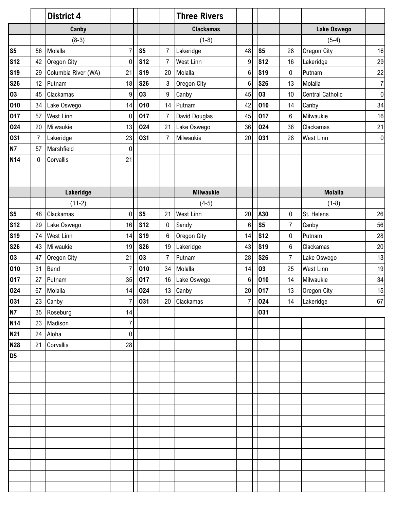|                |                | <b>District 4</b>   |                  |                |                | <b>Three Rivers</b> |    |                |                |                         |                |
|----------------|----------------|---------------------|------------------|----------------|----------------|---------------------|----|----------------|----------------|-------------------------|----------------|
|                |                | Canby               |                  |                |                | <b>Clackamas</b>    |    |                |                | <b>Lake Oswego</b>      |                |
|                |                | $(8-3)$             |                  |                |                | $(1-8)$             |    |                |                | $(5-4)$                 |                |
| S <sub>5</sub> | 56             | Molalla             | $\overline{7}$   | S <sub>5</sub> | $\overline{7}$ | Lakeridge           | 48 | S <sub>5</sub> | 28             | Oregon City             | 16             |
| <b>S12</b>     | 42             | Oregon City         | $\overline{0}$   | <b>S12</b>     | $\overline{7}$ | <b>West Linn</b>    | 9  | <b>S12</b>     | 16             | Lakeridge               | 29             |
| <b>S19</b>     | 29             | Columbia River (WA) | 21               | <b>S19</b>     | 20             | Molalla             | 6  | <b>S19</b>     | 0              | Putnam                  | 22             |
| <b>S26</b>     | 12             | Putnam              | 18               | <b>S26</b>     | 3              | Oregon City         | 6  | <b>S26</b>     | 13             | Molalla                 | $\overline{7}$ |
| 03             | 45             | Clackamas           | $\boldsymbol{9}$ | 03             | 9              | Canby               | 45 | 03             | 10             | <b>Central Catholic</b> | $\overline{0}$ |
| 010            | 34             | Lake Oswego         | 14               | 010            | 14             | Putnam              | 42 | 010            | 14             | Canby                   | 34             |
| 017            | 57             | West Linn           | $\pmb{0}$        | 017            | 7              | David Douglas       | 45 | 017            | 6              | Milwaukie               | 16             |
| 024            | 20             | Milwaukie           | 13               | 024            | 21             | Lake Oswego         | 36 | 024            | 36             | Clackamas               | 21             |
| 031            | $\overline{7}$ | Lakeridge           | 23               | 031            | $\overline{7}$ | Milwaukie           | 20 | 031            | 28             | <b>West Linn</b>        | $\overline{0}$ |
| <b>N7</b>      | 57             | Marshfield          | $\pmb{0}$        |                |                |                     |    |                |                |                         |                |
| <b>N14</b>     | $\mathbf 0$    | Corvallis           | 21               |                |                |                     |    |                |                |                         |                |
|                |                |                     |                  |                |                |                     |    |                |                |                         |                |
|                |                |                     |                  |                |                |                     |    |                |                |                         |                |
|                |                | Lakeridge           |                  |                |                | <b>Milwaukie</b>    |    |                |                | <b>Molalla</b>          |                |
|                |                | $(11-2)$            |                  |                |                | $(4-5)$             |    |                |                | $(1-8)$                 |                |
| S <sub>5</sub> | 48             | Clackamas           | $\mathbf 0$      | S <sub>5</sub> | 21             | <b>West Linn</b>    | 20 | A30            | 0              | St. Helens              | 26             |
| <b>S12</b>     | 29             | Lake Oswego         | 16               | <b>S12</b>     | 0              | Sandy               | 6  | S <sub>5</sub> | $\overline{7}$ | Canby                   | 56             |
| <b>S19</b>     | 74             | West Linn           | 14               | <b>S19</b>     | 6              | Oregon City         | 14 | <b>S12</b>     | $\bf{0}$       | Putnam                  | 28             |
| <b>S26</b>     | 43             | Milwaukie           | 19               | <b>S26</b>     | 19             | Lakeridge           | 43 | <b>S19</b>     | 6              | Clackamas               | 20             |
| 03             | 47             | Oregon City         | 21               | 03             | $\overline{7}$ | Putnam              | 28 | <b>S26</b>     | $\overline{7}$ | Lake Oswego             | 13             |
| 010            | 31             | Bend                | $\overline{7}$   | 010            | 34             | Molalla             | 14 | 03             | 25             | <b>West Linn</b>        | 19             |
| 017            | 27             | Putnam              | 35               | 017            | 16             | Lake Oswego         | 6  | 010            | 14             | Milwaukie               | 34             |
| 024            | 67             | Molalla             | 14               | 024            | 13             | Canby               | 20 | 017            | 13             | Oregon City             | 15             |
| 031            |                | 23 Canby            | $\overline{7}$   | 031            | 20             | Clackamas           | 7  | 024            | 14             | Lakeridge               | 67             |
| <b>N7</b>      | 35             | Roseburg            | 14               |                |                |                     |    | 031            |                |                         |                |
| <b>N14</b>     |                | 23 Madison          | $\overline{7}$   |                |                |                     |    |                |                |                         |                |
| <b>N21</b>     | 24             | Aloha               | $\overline{0}$   |                |                |                     |    |                |                |                         |                |
| <b>N28</b>     | 21             | Corvallis           | 28               |                |                |                     |    |                |                |                         |                |
| D <sub>5</sub> |                |                     |                  |                |                |                     |    |                |                |                         |                |
|                |                |                     |                  |                |                |                     |    |                |                |                         |                |
|                |                |                     |                  |                |                |                     |    |                |                |                         |                |
|                |                |                     |                  |                |                |                     |    |                |                |                         |                |
|                |                |                     |                  |                |                |                     |    |                |                |                         |                |
|                |                |                     |                  |                |                |                     |    |                |                |                         |                |
|                |                |                     |                  |                |                |                     |    |                |                |                         |                |
|                |                |                     |                  |                |                |                     |    |                |                |                         |                |
|                |                |                     |                  |                |                |                     |    |                |                |                         |                |
|                |                |                     |                  |                |                |                     |    |                |                |                         |                |
|                |                |                     |                  |                |                |                     |    |                |                |                         |                |
|                |                |                     |                  |                |                |                     |    |                |                |                         |                |
|                |                |                     |                  |                |                |                     |    |                |                |                         |                |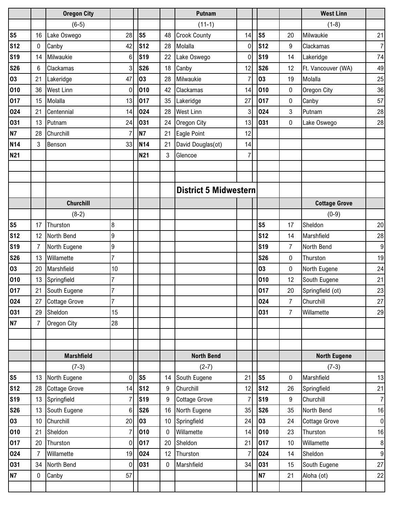|                |                 | <b>Oregon City</b> |                 |                 |              | <b>Putnam</b>                |    |                 |                | <b>West Linn</b>     |                  |
|----------------|-----------------|--------------------|-----------------|-----------------|--------------|------------------------------|----|-----------------|----------------|----------------------|------------------|
|                |                 | $(6-5)$            |                 |                 |              | $(11-1)$                     |    |                 |                | $(1-8)$              |                  |
| S <sub>5</sub> | 16              | Lake Oswego        | 28              | S <sub>5</sub>  | 48           | <b>Crook County</b>          | 14 | S <sub>5</sub>  | 20             | Milwaukie            | 21               |
| <b>S12</b>     | 0               | Canby              | 42              | S <sub>12</sub> | 28           | Molalla                      | 0  | S <sub>12</sub> | 9              | Clackamas            | $\overline{7}$   |
| <b>S19</b>     | 14              | Milwaukie          | 6               | <b>S19</b>      | 22           | Lake Oswego                  | 0  | <b>S19</b>      | 14             | Lakeridge            | 74               |
| <b>S26</b>     | 6               | Clackamas          | 3               | <b>S26</b>      | 18           | Canby                        | 12 | <b>S26</b>      | 12             | Ft. Vancouver (WA)   | 49               |
| 03             | 21              | Lakeridge          | 47              | 03              | 28           | Milwaukie                    |    | 03              | 19             | Molalla              | 25               |
| 010            | 36              | <b>West Linn</b>   | $\mathbf 0$     | 010             | 42           | Clackamas                    | 14 | 010             | 0              | Oregon City          | 36               |
| 017            | 15              | Molalla            | 13              | 017             | 35           | Lakeridge                    | 27 | 017             | 0              | Canby                | 57               |
| 024            | 21              | Centennial         | 14              | 024             | 28           | <b>West Linn</b>             | 3  | 024             | 3              | Putnam               | 28               |
| 031            | 13              | Putnam             | 24              | 031             | 24           | <b>Oregon City</b>           | 13 | 031             | 0              | Lake Oswego          | 28               |
| <b>N7</b>      | 28              | Churchill          | 7               | <b>N7</b>       | 21           | Eagle Point                  | 12 |                 |                |                      |                  |
| <b>N14</b>     | 3               | Benson             | 33              | <b>N14</b>      | 21           | David Douglas(ot)            | 14 |                 |                |                      |                  |
| <b>N21</b>     |                 |                    |                 | <b>N21</b>      | 3            | Glencoe                      | 7  |                 |                |                      |                  |
|                |                 |                    |                 |                 |              |                              |    |                 |                |                      |                  |
|                |                 |                    |                 |                 |              |                              |    |                 |                |                      |                  |
|                |                 |                    |                 |                 |              | <b>District 5 Midwestern</b> |    |                 |                |                      |                  |
|                |                 | <b>Churchill</b>   |                 |                 |              |                              |    |                 |                | <b>Cottage Grove</b> |                  |
|                |                 | $(8-2)$            |                 |                 |              |                              |    |                 |                | $(0-9)$              |                  |
| S <sub>5</sub> | 17              | Thurston           | 8               |                 |              |                              |    | S <sub>5</sub>  | 17             | Sheldon              | 20               |
| <b>S12</b>     | 12              | North Bend         | 9               |                 |              |                              |    | <b>S12</b>      | 14             | Marshfield           | 28               |
| <b>S19</b>     | $\overline{7}$  | North Eugene       | 9               |                 |              |                              |    | <b>S19</b>      | $\overline{7}$ | North Bend           | $\boldsymbol{9}$ |
| <b>S26</b>     | 13              | Willamette         | $\overline{7}$  |                 |              |                              |    | <b>S26</b>      | 0              | Thurston             | 19               |
| 03             | 20              | Marshfield         | 10              |                 |              |                              |    | 03              | 0              | North Eugene         | 24               |
| 010            | 13              | Springfield        | $\overline{7}$  |                 |              |                              |    | 010             | 12             | South Eugene         | 21               |
| 017            | 21              | South Eugene       | $\overline{7}$  |                 |              |                              |    | 017             | 20             | Springfield (ot)     | 23               |
| 024            | 27              | Cottage Grove      | $\overline{7}$  |                 |              |                              |    | 024             | 7              | Churchill            | 27               |
| 031            | 29              | Sheldon            | 15              |                 |              |                              |    | 031             | $\overline{7}$ | Willamette           | 29               |
| <b>N7</b>      | 7               | Oregon City        | 28              |                 |              |                              |    |                 |                |                      |                  |
|                |                 |                    |                 |                 |              |                              |    |                 |                |                      |                  |
|                |                 |                    |                 |                 |              |                              |    |                 |                |                      |                  |
|                |                 | <b>Marshfield</b>  |                 |                 |              | <b>North Bend</b>            |    |                 |                | <b>North Eugene</b>  |                  |
|                |                 | $(7-3)$            |                 |                 |              | $(2-7)$                      |    |                 |                | $(7-3)$              |                  |
| S <sub>5</sub> | 13              | North Eugene       | 0               | S <sub>5</sub>  | 14           | South Eugene                 | 21 | S <sub>5</sub>  | 0              | Marshfield           | 13               |
| <b>S12</b>     | 28              | Cottage Grove      | 14              | S <sub>12</sub> | 9            | Churchill                    | 12 | <b>S12</b>      | 26             | Springfield          | 21               |
| <b>S19</b>     | 13              | Springfield        | 7               | <b>S19</b>      | 9            | <b>Cottage Grove</b>         | 7  | <b>S19</b>      | 9              | Churchill            | $\overline{7}$   |
| <b>S26</b>     | 13              | South Eugene       | 6               | <b>S26</b>      | 16           | North Eugene                 | 35 | <b>S26</b>      | 35             | North Bend           | 16               |
| 03             | 10 <sup>°</sup> | Churchill          | 20 <sub>l</sub> | 03              | 10           | Springfield                  | 24 | 03              | 24             | <b>Cottage Grove</b> | $\pmb{0}$        |
| 010            | 21              | Sheldon            | $\overline{7}$  | 010             | 0            | Willamette                   | 14 | 010             | 23             | Thurston             | 16               |
| 017            | 20              | Thurston           | $\overline{0}$  | 017             | 20           | Sheldon                      | 21 | 017             | 10             | Willamette           | $\,8\,$          |
| 024            |                 | Willamette         | 19              | 024             | 12           | Thurston                     | 7  | 024             | 14             | Sheldon              | 9                |
| 031            | 34              | North Bend         | 0               | 031             | $\mathbf{0}$ | Marshfield                   | 34 | 031             | 15             | South Eugene         | 27               |
| <b>N7</b>      | 0               | Canby              | 57              |                 |              |                              |    | <b>N7</b>       | 21             | Aloha (ot)           | 22               |
|                |                 |                    |                 |                 |              |                              |    |                 |                |                      |                  |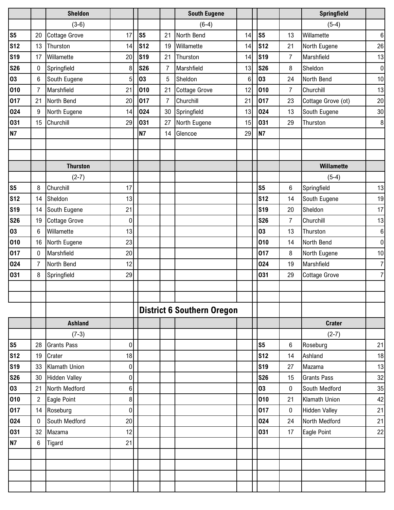|                |                | <b>Sheldon</b>       |                  |                |                | <b>South Eugene</b>               |    |                |                | Springfield          |                  |
|----------------|----------------|----------------------|------------------|----------------|----------------|-----------------------------------|----|----------------|----------------|----------------------|------------------|
|                |                | $(3-6)$              |                  |                |                | $(6-4)$                           |    |                |                | $(5-4)$              |                  |
| S <sub>5</sub> | 20             | <b>Cottage Grove</b> | 17               | S <sub>5</sub> | 21             | North Bend                        | 14 | S <sub>5</sub> | 13             | Willamette           | 6                |
| <b>S12</b>     | 13             | Thurston             | 14               | <b>S12</b>     | 19             | Willamette                        | 14 | <b>S12</b>     | 21             | North Eugene         | 26               |
| <b>S19</b>     | 17             | Willamette           | 20               | <b>S19</b>     | 21             | Thurston                          | 14 | <b>S19</b>     | $\overline{7}$ | Marshfield           | 13               |
| <b>S26</b>     | 0              | Springfield          | 8                | <b>S26</b>     | 7              | Marshfield                        | 13 | <b>S26</b>     | 8              | Sheldon              | $\pmb{0}$        |
| 03             | 6              | South Eugene         | 5                | 03             | 5              | Sheldon                           | 6  | 03             | 24             | North Bend           | 10               |
| 010            | 7              | Marshfield           | 21               | 010            | 21             | <b>Cottage Grove</b>              | 12 | 010            | $\overline{7}$ | Churchill            | 13               |
| 017            | 21             | North Bend           | 20               | 017            | $\overline{7}$ | Churchill                         | 21 | 017            | 23             | Cottage Grove (ot)   | 20               |
| 024            | 9              | North Eugene         | 14               | 024            | 30             | Springfield                       | 13 | 024            | 13             | South Eugene         | $30\,$           |
| 031            | 15             | Churchill            | 29               | 031            | 27             | North Eugene                      | 15 | 031            | 29             | Thurston             | 8                |
| <b>N7</b>      |                |                      |                  | <b>N7</b>      | 14             | Glencoe                           | 29 | <b>N7</b>      |                |                      |                  |
|                |                |                      |                  |                |                |                                   |    |                |                |                      |                  |
|                |                |                      |                  |                |                |                                   |    |                |                |                      |                  |
|                |                | <b>Thurston</b>      |                  |                |                |                                   |    |                |                | Willamette           |                  |
|                |                | $(2-7)$              |                  |                |                |                                   |    |                |                | $(5-4)$              |                  |
| S <sub>5</sub> | 8              | Churchill            | 17               |                |                |                                   |    | S <sub>5</sub> | 6              | Springfield          | 13               |
| <b>S12</b>     | 14             | Sheldon              | 13               |                |                |                                   |    | <b>S12</b>     | 14             | South Eugene         | 19               |
| <b>S19</b>     | 14             | South Eugene         | 21               |                |                |                                   |    | <b>S19</b>     | 20             | Sheldon              | 17               |
| <b>S26</b>     | 19             | <b>Cottage Grove</b> | 0                |                |                |                                   |    | <b>S26</b>     | $\overline{7}$ | Churchill            | 13               |
| 03             | 6              | Willamette           | 13               |                |                |                                   |    | 03             | 13             | Thurston             | $\boldsymbol{6}$ |
| 010            | 16             | North Eugene         | 23               |                |                |                                   |    | 010            | 14             | North Bend           | $\mathbf 0$      |
| 017            | 0              | Marshfield           | 20               |                |                |                                   |    | 017            | 8              | North Eugene         | 10               |
| 024            | 7              | North Bend           | 12               |                |                |                                   |    | 024            | 19             | Marshfield           | $\overline{7}$   |
| 031            | 8              | Springfield          | 29               |                |                |                                   |    | 031            | 29             | <b>Cottage Grove</b> | 7                |
|                |                |                      |                  |                |                |                                   |    |                |                |                      |                  |
|                |                |                      |                  |                |                |                                   |    |                |                |                      |                  |
|                |                |                      |                  |                |                | <b>District 6 Southern Oregon</b> |    |                |                |                      |                  |
|                |                | <b>Ashland</b>       |                  |                |                |                                   |    |                |                | <b>Crater</b>        |                  |
|                |                | $(7-3)$              |                  |                |                |                                   |    |                |                | $(2-7)$              |                  |
| S <sub>5</sub> | 28             | <b>Grants Pass</b>   | $\boldsymbol{0}$ |                |                |                                   |    | S <sub>5</sub> | 6              | Roseburg             | 21               |
| <b>S12</b>     | 19             | Crater               | 18               |                |                |                                   |    | <b>S12</b>     | 14             | Ashland              | 18               |
| <b>S19</b>     | 33             | Klamath Union        | $\boldsymbol{0}$ |                |                |                                   |    | <b>S19</b>     | 27             | Mazama               | 13               |
| <b>S26</b>     | 30             | <b>Hidden Valley</b> | $\pmb{0}$        |                |                |                                   |    | <b>S26</b>     | 15             | <b>Grants Pass</b>   | 32               |
| 03             | 21             | North Medford        | $\,6\,$          |                |                |                                   |    | 03             | $\mathbf 0$    | South Medford        | 35               |
| 010            | $\overline{2}$ | Eagle Point          | 8 <sup>1</sup>   |                |                |                                   |    | 010            | 21             | Klamath Union        | 42               |
| 017            | 14             | Roseburg             | $\pmb{0}$        |                |                |                                   |    | 017            | 0              | <b>Hidden Valley</b> | 21               |
| 024            | 0              | South Medford        | 20               |                |                |                                   |    | 024            | 24             | North Medford        | 21               |
| 031            | 32             | Mazama               | 12               |                |                |                                   |    | 031            | 17             | Eagle Point          | 22               |
| <b>N7</b>      | 6              | Tigard               | 21               |                |                |                                   |    |                |                |                      |                  |
|                |                |                      |                  |                |                |                                   |    |                |                |                      |                  |
|                |                |                      |                  |                |                |                                   |    |                |                |                      |                  |
|                |                |                      |                  |                |                |                                   |    |                |                |                      |                  |
|                |                |                      |                  |                |                |                                   |    |                |                |                      |                  |
|                |                |                      |                  |                |                |                                   |    |                |                |                      |                  |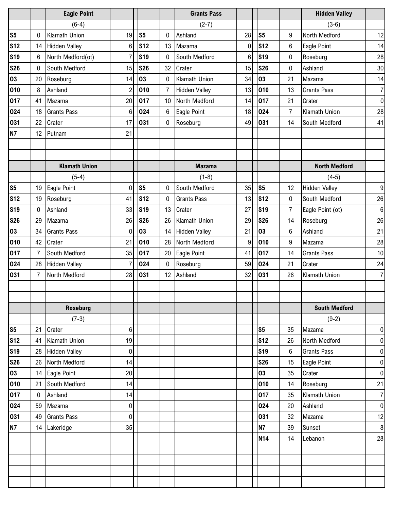|                |                 | <b>Eagle Point</b>   |                  |                |              | <b>Grants Pass</b>   |                |                |                | <b>Hidden Valley</b> |                  |
|----------------|-----------------|----------------------|------------------|----------------|--------------|----------------------|----------------|----------------|----------------|----------------------|------------------|
|                |                 | $(6-4)$              |                  |                |              | $(2-7)$              |                |                |                | $(3-6)$              |                  |
| S <sub>5</sub> | 0               | Klamath Union        | 19               | S <sub>5</sub> | $\mathbf{0}$ | Ashland              | 28             | S <sub>5</sub> | 9              | North Medford        | 12               |
| <b>S12</b>     | 14              | <b>Hidden Valley</b> | 6                | <b>S12</b>     | 13           | Mazama               | 0              | <b>S12</b>     | 6              | Eagle Point          | 14               |
| <b>S19</b>     | 6               | North Medford(ot)    | 7                | <b>S19</b>     | $\mathbf{0}$ | South Medford        | $6\phantom{.}$ | <b>S19</b>     | 0              | Roseburg             | 28               |
| <b>S26</b>     | 0               | South Medford        | 15               | <b>S26</b>     | 32           | Crater               | 15             | <b>S26</b>     | 0              | Ashland              | 30               |
| 03             | 20              | Roseburg             | 14               | 03             | $\mathbf{0}$ | Klamath Union        | 34             | 03             | 21             | Mazama               | 14               |
| 010            | 8               | Ashland              | $\overline{2}$   | 010            | 7            | <b>Hidden Valley</b> | 13             | 010            | 13             | <b>Grants Pass</b>   | $\overline{7}$   |
| 017            | 41              | Mazama               | 20               | 017            | 10           | North Medford        | 14             | 017            | 21             | Crater               | $\mathbf 0$      |
| 024            | 18              | <b>Grants Pass</b>   | 6                | 024            | 6            | Eagle Point          | 18             | 024            | $\overline{7}$ | <b>Klamath Union</b> | 28               |
| 031            | 22              | Crater               | 17               | 031            | $\mathbf{0}$ | Roseburg             | 49             | 031            | 14             | South Medford        | 41               |
| <b>N7</b>      | 12 <sup>°</sup> | Putnam               | 21               |                |              |                      |                |                |                |                      |                  |
|                |                 |                      |                  |                |              |                      |                |                |                |                      |                  |
|                |                 |                      |                  |                |              |                      |                |                |                |                      |                  |
|                |                 | <b>Klamath Union</b> |                  |                |              | <b>Mazama</b>        |                |                |                | <b>North Medford</b> |                  |
|                |                 | $(5-4)$              |                  |                |              | $(1-8)$              |                |                |                | $(4-5)$              |                  |
| S <sub>5</sub> | 19              | Eagle Point          | $\mathbf 0$      | S <sub>5</sub> | $\mathbf{0}$ | South Medford        | 35             | S <sub>5</sub> | 12             | <b>Hidden Valley</b> | $\boldsymbol{9}$ |
| <b>S12</b>     | 19              | Roseburg             | 41               | <b>S12</b>     | 0            | <b>Grants Pass</b>   | 13             | <b>S12</b>     | 0              | South Medford        | 26               |
| <b>S19</b>     | 0               | Ashland              | 33               | <b>S19</b>     | 13           | Crater               | 27             | <b>S19</b>     | $\overline{7}$ | Eagle Point (ot)     | $\,6$            |
| <b>S26</b>     | 29              | Mazama               | 26               | <b>S26</b>     | 26           | Klamath Union        | 29             | <b>S26</b>     | 14             | Roseburg             | 26               |
| 03             | 34              | <b>Grants Pass</b>   | $\mathbf 0$      | 03             | 14           | <b>Hidden Valley</b> | 21             | 03             | 6              | Ashland              | 21               |
| 010            | 42              | Crater               | 21               | 010            | 28           | North Medford        | 9              | 010            | 9              | Mazama               | 28               |
| 017            | $\overline{7}$  | South Medford        | 35               | 017            | 20           | Eagle Point          | 41             | 017            | 14             | <b>Grants Pass</b>   | 10               |
| 024            | 28              | <b>Hidden Valley</b> | 7                | 024            | 0            | Roseburg             | 59             | 024            | 21             | Crater               | 24               |
| 031            | $\overline{7}$  | North Medford        | 28               | 031            |              | 12 Ashland           | 32             | 031            | 28             | Klamath Union        | $\overline{7}$   |
|                |                 |                      |                  |                |              |                      |                |                |                |                      |                  |
|                |                 |                      |                  |                |              |                      |                |                |                |                      |                  |
|                |                 | <b>Roseburg</b>      |                  |                |              |                      |                |                |                | <b>South Medford</b> |                  |
|                |                 | $(7-3)$              |                  |                |              |                      |                |                |                | $(9-2)$              |                  |
| S <sub>5</sub> | 21              | Crater               | 6                |                |              |                      |                | S <sub>5</sub> | 35             | Mazama               | $\pmb{0}$        |
| <b>S12</b>     | 41              | Klamath Union        | 19               |                |              |                      |                | <b>S12</b>     | 26             | North Medford        | $\pmb{0}$        |
| <b>S19</b>     | 28              | <b>Hidden Valley</b> | $\boldsymbol{0}$ |                |              |                      |                | <b>S19</b>     | 6              | <b>Grants Pass</b>   | $\pmb{0}$        |
| <b>S26</b>     | 26              | North Medford        | 14               |                |              |                      |                | <b>S26</b>     | 15             | Eagle Point          | $\pmb{0}$        |
| 03             | 14              | Eagle Point          | 20               |                |              |                      |                | 03             | 35             | Crater               | $\pmb{0}$        |
| 010            | 21              | South Medford        | 14               |                |              |                      |                | 010            | 14             | Roseburg             | 21               |
| 017            | $\mathbf 0$     | Ashland              | 14               |                |              |                      |                | 017            | 35             | Klamath Union        | $\boldsymbol{7}$ |
| 024            | 59              | Mazama               | $\pmb{0}$        |                |              |                      |                | 024            | 20             | Ashland              | $\boldsymbol{0}$ |
| 031            | 49              | <b>Grants Pass</b>   | $\pmb{0}$        |                |              |                      |                | 031            | 32             | Mazama               | 12               |
| <b>N7</b>      | 14              | Lakeridge            | 35               |                |              |                      |                | <b>N7</b>      | 39             | Sunset               | $\bf 8$          |
|                |                 |                      |                  |                |              |                      |                | <b>N14</b>     | 14             | Lebanon              | 28               |
|                |                 |                      |                  |                |              |                      |                |                |                |                      |                  |
|                |                 |                      |                  |                |              |                      |                |                |                |                      |                  |
|                |                 |                      |                  |                |              |                      |                |                |                |                      |                  |
|                |                 |                      |                  |                |              |                      |                |                |                |                      |                  |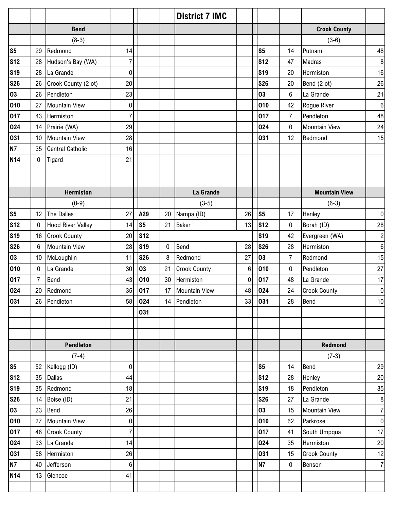|                 |                |                          |                  |                 |             | <b>District 7 IMC</b> |    |                |                |                      |                  |
|-----------------|----------------|--------------------------|------------------|-----------------|-------------|-----------------------|----|----------------|----------------|----------------------|------------------|
|                 |                | <b>Bend</b>              |                  |                 |             |                       |    |                |                | <b>Crook County</b>  |                  |
|                 |                | $(8-3)$                  |                  |                 |             |                       |    |                |                | $(3-6)$              |                  |
| S <sub>5</sub>  | 29             | Redmond                  | 14               |                 |             |                       |    | S <sub>5</sub> | 14             | Putnam               | 48               |
| <b>S12</b>      | 28             | Hudson's Bay (WA)        | $\overline{7}$   |                 |             |                       |    | <b>S12</b>     | 47             | Madras               | $\bf 8$          |
| <b>S19</b>      | 28             | La Grande                | $\boldsymbol{0}$ |                 |             |                       |    | <b>S19</b>     | 20             | Hermiston            | 16               |
| <b>S26</b>      | 26             | Crook County (2 ot)      | 20               |                 |             |                       |    | <b>S26</b>     | 20             | Bend (2 ot)          | 26               |
| 03              | 26             | Pendleton                | 23               |                 |             |                       |    | 03             | 6              | La Grande            | 21               |
| 010             | 27             | <b>Mountain View</b>     | 0                |                 |             |                       |    | 010            | 42             | Rogue River          | $\boldsymbol{6}$ |
| 017             | 43             | Hermiston                | $\overline{7}$   |                 |             |                       |    | 017            | $\overline{7}$ | Pendleton            | 48               |
| 024             | 14             | Prairie (WA)             | 29               |                 |             |                       |    | 024            | $\pmb{0}$      | <b>Mountain View</b> | 24               |
| 031             | 10             | <b>Mountain View</b>     | 28               |                 |             |                       |    | 031            | 12             | Redmond              | 15               |
| <b>N7</b>       | 35             | <b>Central Catholic</b>  | 16               |                 |             |                       |    |                |                |                      |                  |
| <b>N14</b>      | $\mathbf 0$    | Tigard                   | 21               |                 |             |                       |    |                |                |                      |                  |
|                 |                |                          |                  |                 |             |                       |    |                |                |                      |                  |
|                 |                |                          |                  |                 |             |                       |    |                |                |                      |                  |
|                 |                | <b>Hermiston</b>         |                  |                 |             | La Grande             |    |                |                | <b>Mountain View</b> |                  |
|                 |                | $(0-9)$                  |                  |                 |             | $(3-5)$               |    |                |                | $(6-3)$              |                  |
| S <sub>5</sub>  | 12             | The Dalles               | 27               | A29             | 20          | Nampa (ID)            | 26 | S <sub>5</sub> | 17             | Henley               | $\boldsymbol{0}$ |
| s <sub>12</sub> | $\mathbf 0$    | <b>Hood River Valley</b> | 14               | s <sub>5</sub>  | 21          | <b>Baker</b>          | 13 | <b>S12</b>     | 0              | Borah (ID)           | 28               |
| <b>S19</b>      | 16             | <b>Crook County</b>      | 20               | S <sub>12</sub> |             |                       |    | <b>S19</b>     | 42             | Evergreen (WA)       | $\overline{c}$   |
| <b>S26</b>      | 6              | <b>Mountain View</b>     | 28               | <b>S19</b>      | $\mathbf 0$ | Bend                  | 28 | <b>S26</b>     | 28             | Hermiston            | $\boldsymbol{6}$ |
| 03              | 10             | McLoughlin               | 11               | <b>S26</b>      | 8           | Redmond               | 27 | 03             | $\overline{7}$ | Redmond              | 15               |
| 010             | $\mathbf 0$    | La Grande                | 30 <sup>1</sup>  | 03              | 21          | <b>Crook County</b>   | 6  | 010            | 0              | Pendleton            | 27               |
| 017             | $\overline{7}$ | Bend                     | 43               | 010             | 30          | Hermiston             | 0  | 017            | 48             | La Grande            | 17               |
| 024             | 20             | Redmond                  | 35               | 017             | 17          | <b>Mountain View</b>  | 48 | 024            | 24             | <b>Crook County</b>  | $\pmb{0}$        |
| 031             | 26             | Pendleton                | 58               | 024             |             | 14 Pendleton          | 33 | 031            | 28             | <b>Bend</b>          | 10               |
|                 |                |                          |                  | 031             |             |                       |    |                |                |                      |                  |
|                 |                |                          |                  |                 |             |                       |    |                |                |                      |                  |
|                 |                |                          |                  |                 |             |                       |    |                |                |                      |                  |
|                 |                | Pendleton                |                  |                 |             |                       |    |                |                | Redmond              |                  |
|                 |                | $(7-4)$                  |                  |                 |             |                       |    |                |                | $(7-3)$              |                  |
| S <sub>5</sub>  |                | 52 Kellogg (ID)          | $\overline{0}$   |                 |             |                       |    | S <sub>5</sub> | 14             | Bend                 | 29               |
| s <sub>12</sub> | 35             | <b>Dallas</b>            | 44               |                 |             |                       |    | <b>S12</b>     | 28             | Henley               | 20               |
| <b>S19</b>      | 35             | Redmond                  | 18               |                 |             |                       |    | <b>S19</b>     | 18             | Pendleton            | 35               |
| <b>S26</b>      | 14             | Boise (ID)               | 21               |                 |             |                       |    | <b>S26</b>     | 27             | La Grande            | $\,8\,$          |
| 03              | 23             | Bend                     | 26               |                 |             |                       |    | 03             | 15             | <b>Mountain View</b> | $\overline{7}$   |
| 010             | 27             | <b>Mountain View</b>     | $\overline{0}$   |                 |             |                       |    | 010            | 62             | Parkrose             | $\pmb{0}$        |
| 017             | 48             | <b>Crook County</b>      | $\overline{7}$   |                 |             |                       |    | 017            | 41             | South Umpqua         | 17               |
| 024             | 33             | La Grande                | 14               |                 |             |                       |    | 024            | 35             | Hermiston            | 20               |
| 031             | 58             | Hermiston                | 26               |                 |             |                       |    | 031            | 15             | <b>Crook County</b>  | 12               |
| <b>N7</b>       | 40             | Jefferson                | $6 \mid$         |                 |             |                       |    | <b>N7</b>      | 0              | Benson               | $\overline{7}$   |
| <b>N14</b>      | 13             | Glencoe                  | 41               |                 |             |                       |    |                |                |                      |                  |
|                 |                |                          |                  |                 |             |                       |    |                |                |                      |                  |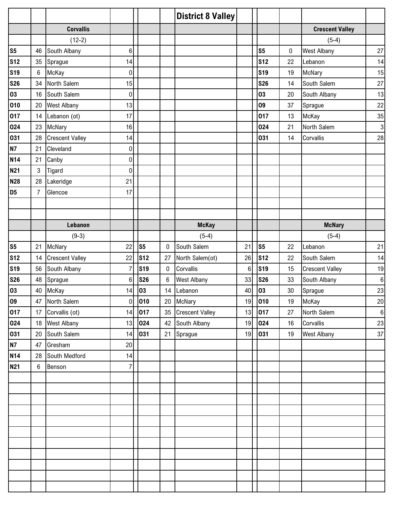|                |                 |                        |                |                |             | <b>District 8 Valley</b> |                 |                |    |                        |              |
|----------------|-----------------|------------------------|----------------|----------------|-------------|--------------------------|-----------------|----------------|----|------------------------|--------------|
|                |                 | <b>Corvallis</b>       |                |                |             |                          |                 |                |    | <b>Crescent Valley</b> |              |
|                |                 | $(12-2)$               |                |                |             |                          |                 |                |    | $(5-4)$                |              |
| S <sub>5</sub> | 46              | South Albany           | $6\phantom{a}$ |                |             |                          |                 | S <sub>5</sub> | 0  | <b>West Albany</b>     | 27           |
| <b>S12</b>     | 35              | Sprague                | 14             |                |             |                          |                 | <b>S12</b>     | 22 | Lebanon                | 14           |
| <b>S19</b>     | 6               | McKay                  | 0              |                |             |                          |                 | <b>S19</b>     | 19 | McNary                 | 15           |
| <b>S26</b>     | 34              | North Salem            | 15             |                |             |                          |                 | <b>S26</b>     | 14 | South Salem            | 27           |
| 03             | 16              | South Salem            | $\pmb{0}$      |                |             |                          |                 | 03             | 20 | South Albany           | 13           |
| 010            | 20              | <b>West Albany</b>     | 13             |                |             |                          |                 | 09             | 37 | Sprague                | 22           |
| 017            | 14              | Lebanon (ot)           | 17             |                |             |                          |                 | 017            | 13 | McKay                  | 35           |
| 024            | 23              | McNary                 | 16             |                |             |                          |                 | 024            | 21 | North Salem            | $\mathbf{3}$ |
| 031            | 28              | <b>Crescent Valley</b> | 14             |                |             |                          |                 | 031            | 14 | Corvallis              | 28           |
| <b>N7</b>      | 21              | Cleveland              | 0              |                |             |                          |                 |                |    |                        |              |
| <b>N14</b>     | 21              | Canby                  | $\pmb{0}$      |                |             |                          |                 |                |    |                        |              |
| <b>N21</b>     | 3               | Tigard                 | $\pmb{0}$      |                |             |                          |                 |                |    |                        |              |
| <b>N28</b>     | 28              | Lakeridge              | 21             |                |             |                          |                 |                |    |                        |              |
| D <sub>5</sub> | $\overline{7}$  | Glencoe                | 17             |                |             |                          |                 |                |    |                        |              |
|                |                 |                        |                |                |             |                          |                 |                |    |                        |              |
|                |                 |                        |                |                |             |                          |                 |                |    |                        |              |
|                |                 | Lebanon                |                |                |             | <b>McKay</b>             |                 |                |    | <b>McNary</b>          |              |
|                |                 | $(9-3)$                |                |                |             | $(5-4)$                  |                 |                |    | $(5-4)$                |              |
| S <sub>5</sub> | 21              | McNary                 | 22             | s <sub>5</sub> | $\mathbf 0$ | South Salem              | 21              | S <sub>5</sub> | 22 | Lebanon                | 21           |
| <b>S12</b>     | 14              | <b>Crescent Valley</b> | 22             | <b>S12</b>     | 27          | North Salem(ot)          | 26              | <b>S12</b>     | 22 | South Salem            | 14           |
| <b>S19</b>     | 56              | South Albany           | $\overline{7}$ | <b>S19</b>     | 0           | Corvallis                | $6\phantom{.}6$ | <b>S19</b>     | 15 | <b>Crescent Valley</b> | 19           |
| <b>S26</b>     | 48              | Sprague                | 6              | <b>S26</b>     | 6           | <b>West Albany</b>       | 33              | <b>S26</b>     | 33 | South Albany           | $\bf 6$      |
| 03             | 40              | McKay                  | 14             | 03             | 14          | Lebanon                  | 40              | 03             | 30 | Sprague                | 23           |
| 09             | 47              | North Salem            | $\overline{0}$ | 010            |             | 20 McNary                | 19              | 010            | 19 | McKay                  | 20           |
| 017            | 17              | Corvallis (ot)         | 14             | 017            | 35          | <b>Crescent Valley</b>   | 13              | 017            | 27 | North Salem            | $6 \mid$     |
| 024            | 18              | <b>West Albany</b>     | 13             | 024            | 42          | South Albany             | 19              | 024            | 16 | Corvallis              | 23           |
| 031            | 20              | South Salem            | 14             | 031            | 21          | Sprague                  | 19              | 031            | 19 | <b>West Albany</b>     | 37           |
| <b>N7</b>      | 47              | Gresham                | 20             |                |             |                          |                 |                |    |                        |              |
| <b>N14</b>     | 28              | South Medford          | 14             |                |             |                          |                 |                |    |                        |              |
| <b>N21</b>     | $6\phantom{.0}$ | Benson                 | $\overline{7}$ |                |             |                          |                 |                |    |                        |              |
|                |                 |                        |                |                |             |                          |                 |                |    |                        |              |
|                |                 |                        |                |                |             |                          |                 |                |    |                        |              |
|                |                 |                        |                |                |             |                          |                 |                |    |                        |              |
|                |                 |                        |                |                |             |                          |                 |                |    |                        |              |
|                |                 |                        |                |                |             |                          |                 |                |    |                        |              |
|                |                 |                        |                |                |             |                          |                 |                |    |                        |              |
|                |                 |                        |                |                |             |                          |                 |                |    |                        |              |
|                |                 |                        |                |                |             |                          |                 |                |    |                        |              |
|                |                 |                        |                |                |             |                          |                 |                |    |                        |              |
|                |                 |                        |                |                |             |                          |                 |                |    |                        |              |
|                |                 |                        |                |                |             |                          |                 |                |    |                        |              |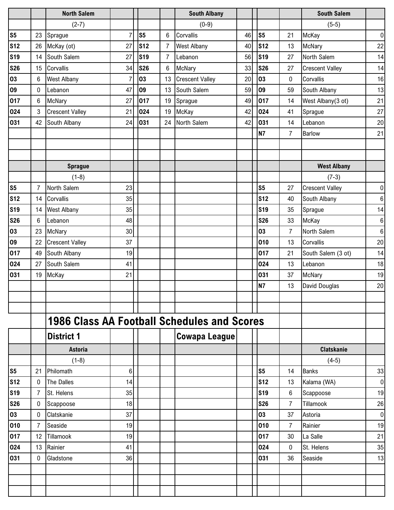|                |                 | <b>North Salem</b>                                 |                |                |                | <b>South Albany</b>    |    |                 |                | <b>South Salem</b>     |           |
|----------------|-----------------|----------------------------------------------------|----------------|----------------|----------------|------------------------|----|-----------------|----------------|------------------------|-----------|
|                |                 | $(2-7)$                                            |                |                |                | $(0-9)$                |    |                 |                | $(5-5)$                |           |
| S <sub>5</sub> | 23              | Sprague                                            | $\overline{7}$ | S <sub>5</sub> | 6              | Corvallis              | 46 | S <sub>5</sub>  | 21             | McKay                  | $\pmb{0}$ |
| <b>S12</b>     | 26              | McKay (ot)                                         | 27             | <b>S12</b>     | $\overline{7}$ | <b>West Albany</b>     | 40 | S <sub>12</sub> | 13             | McNary                 | 22        |
| <b>S19</b>     | 14              | South Salem                                        | 27             | <b>S19</b>     | $\overline{7}$ | Lebanon                | 56 | <b>S19</b>      | 27             | North Salem            | 14        |
| <b>S26</b>     | 15              | Corvallis                                          | 34             | <b>S26</b>     | 6              | <b>McNary</b>          | 33 | <b>S26</b>      | 27             | <b>Crescent Valley</b> | 14        |
| 03             | $6\phantom{.0}$ | <b>West Albany</b>                                 | 7              | 03             | 13             | <b>Crescent Valley</b> | 20 | 03              | 0              | Corvallis              | 16        |
| 09             | $\mathbf 0$     | Lebanon                                            | 47             | 09             | 13             | South Salem            | 59 | 09              | 59             | South Albany           | 13        |
| 017            | 6               | McNary                                             | 27             | 017            | 19             | Sprague                | 49 | 017             | 14             | West Albany(3 ot)      | 21        |
| 024            | $\mathbf{3}$    | <b>Crescent Valley</b>                             | 21             | 024            | 19             | McKay                  | 42 | 024             | 41             | Sprague                | 27        |
| 031            | 42              | South Albany                                       | 24             | 031            | 24             | North Salem            | 42 | 031             | 14             | Lebanon                | 20        |
|                |                 |                                                    |                |                |                |                        |    | <b>N7</b>       | 7              | Barlow                 | 21        |
|                |                 |                                                    |                |                |                |                        |    |                 |                |                        |           |
|                |                 |                                                    |                |                |                |                        |    |                 |                |                        |           |
|                |                 | <b>Sprague</b>                                     |                |                |                |                        |    |                 |                | <b>West Albany</b>     |           |
|                |                 | $(1-8)$                                            |                |                |                |                        |    |                 |                | $(7-3)$                |           |
| S <sub>5</sub> | $\overline{7}$  | North Salem                                        | 23             |                |                |                        |    | S <sub>5</sub>  | 27             | <b>Crescent Valley</b> | $\pmb{0}$ |
| <b>S12</b>     | 14              | Corvallis                                          | 35             |                |                |                        |    | <b>S12</b>      | 40             | South Albany           | $\,6\,$   |
| <b>S19</b>     | 14              | <b>West Albany</b>                                 | 35             |                |                |                        |    | <b>S19</b>      | 35             | Sprague                | 14        |
| <b>S26</b>     | 6               | Lebanon                                            | 48             |                |                |                        |    | <b>S26</b>      | 33             | McKay                  | 6         |
| 03             | 23              | McNary                                             | 30             |                |                |                        |    | 03              | $\overline{7}$ | North Salem            | $\,6$     |
| 09             | 22              | <b>Crescent Valley</b>                             | 37             |                |                |                        |    | 010             | 13             | Corvallis              | 20        |
| 017            | 49              | South Albany                                       | 19             |                |                |                        |    | 017             | 21             | South Salem (3 ot)     | 14        |
| 024            | 27              | South Salem                                        | 41             |                |                |                        |    | 024             | 13             | Lebanon                | 18        |
| 031            | 19              | McKay                                              | 21             |                |                |                        |    | 031             | 37             | McNary                 | 19        |
|                |                 |                                                    |                |                |                |                        |    | <b>N7</b>       | 13             | David Douglas          | 20        |
|                |                 |                                                    |                |                |                |                        |    |                 |                |                        |           |
|                |                 |                                                    |                |                |                |                        |    |                 |                |                        |           |
|                |                 | <b>1986 Class AA Football Schedules and Scores</b> |                |                |                |                        |    |                 |                |                        |           |
|                |                 | <b>District 1</b>                                  |                |                |                | <b>Cowapa League</b>   |    |                 |                |                        |           |
|                |                 | <b>Astoria</b>                                     |                |                |                |                        |    |                 |                | <b>Clatskanie</b>      |           |
|                |                 | $(1-8)$                                            |                |                |                |                        |    |                 |                | $(4-5)$                |           |
| <b>S5</b>      | 21              | Philomath                                          | $6\phantom{.}$ |                |                |                        |    | S <sub>5</sub>  | 14             | <b>Banks</b>           | 33        |
| <b>S12</b>     | $\mathbf 0$     | <b>The Dalles</b>                                  | 14             |                |                |                        |    | <b>S12</b>      | 13             | Kalama (WA)            | $\pmb{0}$ |
| <b>S19</b>     | $\overline{7}$  | St. Helens                                         | 35             |                |                |                        |    | <b>S19</b>      | 6              | Scappoose              | 19        |
| <b>S26</b>     | $\mathbf 0$     | Scappoose                                          | 18             |                |                |                        |    | <b>S26</b>      | 7              | Tillamook              | 26        |
| 03             | $\mathbf 0$     | Clatskanie                                         | 37             |                |                |                        |    | 03              | 37             | Astoria                | 0         |
| 010            | $\overline{7}$  | Seaside                                            | 19             |                |                |                        |    | 010             | 7              | Rainier                | 19        |
| 017            | 12              | Tillamook                                          | 19             |                |                |                        |    | 017             | 30             | La Salle               | 21        |
| 024            | 13              | Rainier                                            | 41             |                |                |                        |    | 024             | 0              | St. Helens             | 35        |
| 031            | 0               | Gladstone                                          | 36             |                |                |                        |    | 031             | 36             | Seaside                | 13        |
|                |                 |                                                    |                |                |                |                        |    |                 |                |                        |           |
|                |                 |                                                    |                |                |                |                        |    |                 |                |                        |           |
|                |                 |                                                    |                |                |                |                        |    |                 |                |                        |           |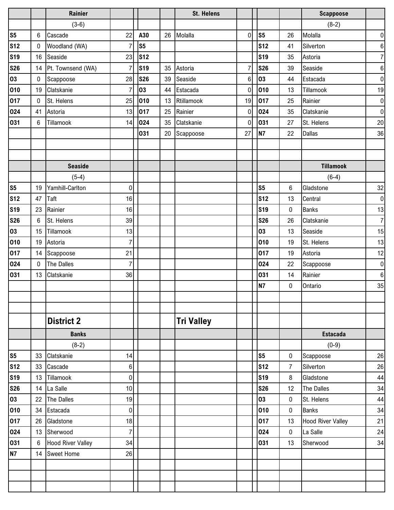|                |    | Rainier                  |                  |                |    | <b>St. Helens</b> |                |                |                  | <b>Scappoose</b>         |                  |
|----------------|----|--------------------------|------------------|----------------|----|-------------------|----------------|----------------|------------------|--------------------------|------------------|
|                |    | $(3-6)$                  |                  |                |    |                   |                |                |                  | $(8-2)$                  |                  |
| S <sub>5</sub> | 6  | Cascade                  | 22               | A30            | 26 | Molalla           | $\overline{0}$ | S <sub>5</sub> | 26               | Molalla                  | $\pmb{0}$        |
| <b>S12</b>     | 0  | Woodland (WA)            | 7                | S <sub>5</sub> |    |                   |                | <b>S12</b>     | 41               | Silverton                | $\boldsymbol{6}$ |
| <b>S19</b>     | 16 | Seaside                  | 23               | <b>S12</b>     |    |                   |                | <b>S19</b>     | 35               | Astoria                  | $\overline{7}$   |
| <b>S26</b>     | 14 | Pt. Townsend (WA)        | 7                | <b>S19</b>     | 35 | Astoria           | 7              | <b>S26</b>     | 39               | Seaside                  | $\,6\,$          |
| 03             | 0  | Scappoose                | 28               | <b>S26</b>     | 39 | Seaside           | 6              | 03             | 44               | Estacada                 | $\pmb{0}$        |
| 010            | 19 | Clatskanie               | $\overline{7}$   | 03             | 44 | Estacada          | $\mathbf 0$    | 010            | 13               | Tillamook                | 19               |
| 017            | 0  | St. Helens               | 25               | 010            | 13 | Rtillamook        | 19             | 017            | 25               | Rainier                  | $\pmb{0}$        |
| 024            | 41 | Astoria                  | 13               | 017            | 25 | Rainier           | 0              | 024            | 35               | Clatskanie               | $\mathbf 0$      |
| 031            | 6  | Tillamook                | 14               | 024            | 35 | Clatskanie        | 0              | 031            | 27               | St. Helens               | 20               |
|                |    |                          |                  | 031            | 20 | Scappoose         | 27             | <b>N7</b>      | 22               | <b>Dallas</b>            | 36               |
|                |    |                          |                  |                |    |                   |                |                |                  |                          |                  |
|                |    |                          |                  |                |    |                   |                |                |                  |                          |                  |
|                |    | <b>Seaside</b>           |                  |                |    |                   |                |                |                  | <b>Tillamook</b>         |                  |
|                |    | $(5-4)$                  |                  |                |    |                   |                |                |                  | $(6-4)$                  |                  |
| S <sub>5</sub> | 19 | Yamhill-Carlton          | $\boldsymbol{0}$ |                |    |                   |                | s <sub>5</sub> | $\boldsymbol{6}$ | Gladstone                | 32               |
| <b>S12</b>     | 47 | Taft                     | 16               |                |    |                   |                | <b>S12</b>     | 13               | Central                  | $\pmb{0}$        |
| <b>S19</b>     | 23 | Rainier                  | 16               |                |    |                   |                | <b>S19</b>     | $\mathbf 0$      | <b>Banks</b>             | 13               |
| <b>S26</b>     | 6  | St. Helens               | 39               |                |    |                   |                | <b>S26</b>     | 26               | Clatskanie               | $\overline{7}$   |
| 03             | 15 | Tillamook                | 13               |                |    |                   |                | 03             | 13               | Seaside                  | 15               |
| 010            | 19 | Astoria                  | $\overline{7}$   |                |    |                   |                | 010            | 19               | St. Helens               | 13               |
| 017            | 14 | Scappoose                | 21               |                |    |                   |                | 017            | 19               | Astoria                  | 12               |
| 024            | 0  | The Dalles               | $\overline{7}$   |                |    |                   |                | 024            | 22               | Scappoose                | $\pmb{0}$        |
| 031            | 13 | Clatskanie               | 36               |                |    |                   |                | 031            | 14               | Rainier                  | $\boldsymbol{6}$ |
|                |    |                          |                  |                |    |                   |                | <b>N7</b>      | $\pmb{0}$        | Ontario                  | 35               |
|                |    |                          |                  |                |    |                   |                |                |                  |                          |                  |
|                |    |                          |                  |                |    |                   |                |                |                  |                          |                  |
|                |    | <b>District 2</b>        |                  |                |    | <b>Tri Valley</b> |                |                |                  |                          |                  |
|                |    | <b>Banks</b>             |                  |                |    |                   |                |                |                  | <b>Estacada</b>          |                  |
|                |    | $(8-2)$                  |                  |                |    |                   |                |                |                  | $(0-9)$                  |                  |
| S <sub>5</sub> | 33 | Clatskanie               | 14               |                |    |                   |                | S <sub>5</sub> | 0                | Scappoose                | 26               |
| <b>S12</b>     | 33 | Cascade                  | 6                |                |    |                   |                | <b>S12</b>     | $\overline{7}$   | Silverton                | 26               |
| <b>S19</b>     | 13 | Tillamook                | $\pmb{0}$        |                |    |                   |                | <b>S19</b>     | 8                | Gladstone                | 44               |
| <b>S26</b>     | 14 | La Salle                 | 10               |                |    |                   |                | <b>S26</b>     | 12               | The Dalles               | 34               |
| 03             | 22 | <b>The Dalles</b>        | 19               |                |    |                   |                | 03             | 0                | St. Helens               | 44               |
| 010            | 34 | Estacada                 | $\pmb{0}$        |                |    |                   |                | 010            | $\pmb{0}$        | <b>Banks</b>             | 34               |
| 017            | 26 | Gladstone                | 18               |                |    |                   |                | 017            | 13               | <b>Hood River Valley</b> | 21               |
| 024            | 13 | Sherwood                 | 7                |                |    |                   |                | 024            | 0                | La Salle                 | 24               |
| 031            | 6  | <b>Hood River Valley</b> | 34               |                |    |                   |                | 031            | 13               | Sherwood                 | 34               |
| <b>N7</b>      | 14 | <b>Sweet Home</b>        | 26               |                |    |                   |                |                |                  |                          |                  |
|                |    |                          |                  |                |    |                   |                |                |                  |                          |                  |
|                |    |                          |                  |                |    |                   |                |                |                  |                          |                  |
|                |    |                          |                  |                |    |                   |                |                |                  |                          |                  |
|                |    |                          |                  |                |    |                   |                |                |                  |                          |                  |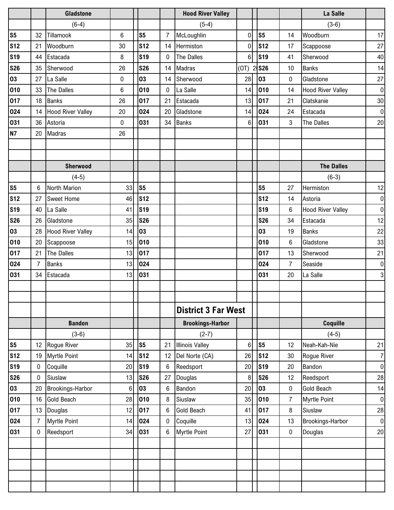|                |    | <b>Gladstone</b>         |                |                 |                | <b>Hood River Valley</b>   |                |                |    | La Salle                 |                |
|----------------|----|--------------------------|----------------|-----------------|----------------|----------------------------|----------------|----------------|----|--------------------------|----------------|
|                |    | $(6-4)$                  |                |                 |                | $(5-4)$                    |                |                |    | $(3-6)$                  |                |
| S <sub>5</sub> | 32 | Tillamook                | $6\phantom{1}$ | S <sub>5</sub>  | $\overline{7}$ | McLoughlin                 | $\overline{0}$ | S <sub>5</sub> | 14 | Woodburn                 | 17             |
| <b>S12</b>     | 21 | Woodburn                 | 30             | <b>S12</b>      | 14             | Hermiston                  | $\mathbf 0$    | <b>S12</b>     | 17 | Scappoose                | 27             |
| <b>S19</b>     | 44 | Estacada                 | 8              | <b>S19</b>      | $\mathbf{0}$   | The Dalles                 | 6              | <b>S19</b>     | 41 | Sherwood                 | 40             |
| <b>S26</b>     | 35 | Sherwood                 | 26             | <b>S26</b>      | 14             | Madras                     | (0)            | 2 S26          | 10 | Banks                    | 14             |
| 03             | 27 | La Salle                 | 0              | 03              | 14             | Sherwood                   | 28             | 03             | 0  | Gladstone                | $27\,$         |
| 010            | 33 | The Dalles               | $6\phantom{1}$ | 010             | $\mathbf{0}$   | La Salle                   | 14             | 010            | 14 | <b>Hood River Valley</b> | $\mathbf 0$    |
| 017            | 18 | Banks                    | 26             | 017             | 21             | Estacada                   | 13             | 017            | 21 | Clatskanie               | 30             |
| 024            | 14 | <b>Hood River Valley</b> | 20             | 024             | 20             | Gladstone                  | 14             | 024            | 24 | Estacada                 | $\mathbf 0$    |
| 031            | 36 | Astoria                  | $\mathbf 0$    | 031             | 34             | <b>Banks</b>               | 6              | 031            | 3  | The Dalles               | 20             |
| <b>N7</b>      | 20 | Madras                   | 26             |                 |                |                            |                |                |    |                          |                |
|                |    |                          |                |                 |                |                            |                |                |    |                          |                |
|                |    |                          |                |                 |                |                            |                |                |    |                          |                |
|                |    | Sherwood                 |                |                 |                |                            |                |                |    | <b>The Dalles</b>        |                |
|                |    | $(4-5)$                  |                |                 |                |                            |                |                |    | $(6-3)$                  |                |
| S <sub>5</sub> | 6  | North Marion             | 33             | S5              |                |                            |                | S <sub>5</sub> | 27 | Hermiston                | 12             |
| <b>S12</b>     | 27 | <b>Sweet Home</b>        | 46             | s <sub>12</sub> |                |                            |                | <b>S12</b>     | 14 | Astoria                  | $\pmb{0}$      |
| <b>S19</b>     | 40 | La Salle                 | 41             | <b>S19</b>      |                |                            |                | <b>S19</b>     | 6  | <b>Hood River Valley</b> | $\mathbf 0$    |
| <b>S26</b>     | 26 | Gladstone                | 35             | <b>S26</b>      |                |                            |                | <b>S26</b>     | 34 | Estacada                 | 12             |
| 03             | 28 | <b>Hood River Valley</b> | 14             | 03              |                |                            |                | 03             | 19 | <b>Banks</b>             | 22             |
| 010            | 20 | Scappoose                | 15             | 010             |                |                            |                | 010            | 6  | Gladstone                | 33             |
| 017            | 21 | The Dalles               | 13             | 017             |                |                            |                | 017            | 13 | Sherwood                 | 21             |
| 024            | 7  | <b>Banks</b>             | 13             | 024             |                |                            |                | 024            | 7  | Seaside                  | $\pmb{0}$      |
| 031            | 34 | Estacada                 | 13             | 031             |                |                            |                | 031            | 20 | La Salle                 | 3              |
|                |    |                          |                |                 |                |                            |                |                |    |                          |                |
|                |    |                          |                |                 |                |                            |                |                |    |                          |                |
|                |    |                          |                |                 |                | <b>District 3 Far West</b> |                |                |    |                          |                |
|                |    | <b>Bandon</b>            |                |                 |                | <b>Brookings-Harbor</b>    |                |                |    | Coquille                 |                |
|                |    | $(3-6)$                  |                |                 |                | $(2-7)$                    |                |                |    | $(4-5)$                  |                |
| S <sub>5</sub> | 12 | Rogue River              | 35             | S <sub>5</sub>  | 21             | <b>Illinois Valley</b>     | 6              | S <sub>5</sub> | 12 | Neah-Kah-Nie             | 21             |
| <b>S12</b>     | 19 | <b>Myrtle Point</b>      | 14             | <b>S12</b>      | 12             | Del Norte (CA)             | 26             | <b>S12</b>     | 30 | Rogue River              | $\overline{7}$ |
| <b>S19</b>     | 0  | Coquille                 | 20             | <b>S19</b>      | 6              | Reedsport                  | 20             | <b>S19</b>     | 20 | Bandon                   | $\pmb{0}$      |
| <b>S26</b>     | 0  | Siuslaw                  | 13             | <b>S26</b>      | 27             | Douglas                    | 8              | <b>S26</b>     | 12 | Reedsport                | 28             |
| 03             | 20 | Brookings-Harbor         | 6              | 03              | 6              | Bandon                     | 20             | 03             | 0  | Gold Beach               | 14             |
| 010            | 16 | <b>Gold Beach</b>        | 28             | 010             | 8              | Siuslaw                    | 35             | 010            | 7  | <b>Myrtle Point</b>      | $\mathbf 0$    |
| 017            | 13 | Douglas                  | 12             | 017             | 6              | <b>Gold Beach</b>          | 41             | 017            | 8  | Siuslaw                  | 28             |
| 024            | 7  | <b>Myrtle Point</b>      | 14             | 024             | 0              | Coquille                   | 13             | 024            | 13 | Brookings-Harbor         | $\pmb{0}$      |
| 031            | 0  | Reedsport                | 34             | 031             | 6              | <b>Myrtle Point</b>        | 27             | 031            | 0  | Douglas                  | 20             |
|                |    |                          |                |                 |                |                            |                |                |    |                          |                |
|                |    |                          |                |                 |                |                            |                |                |    |                          |                |
|                |    |                          |                |                 |                |                            |                |                |    |                          |                |
|                |    |                          |                |                 |                |                            |                |                |    |                          |                |
|                |    |                          |                |                 |                |                            |                |                |    |                          |                |
|                |    |                          |                |                 |                |                            |                |                |    |                          |                |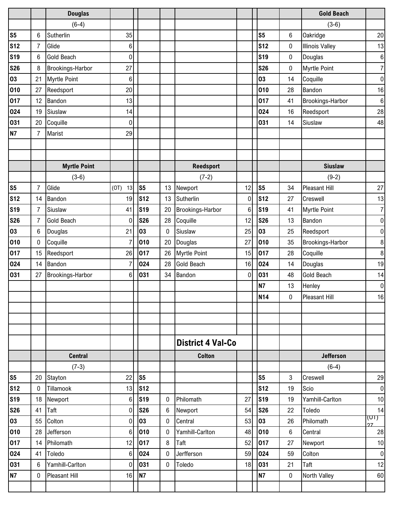|                |                | <b>Douglas</b>       |                  |                |              |                          |                |                |             | <b>Gold Beach</b>      |                  |
|----------------|----------------|----------------------|------------------|----------------|--------------|--------------------------|----------------|----------------|-------------|------------------------|------------------|
|                |                | $(6-4)$              |                  |                |              |                          |                |                |             | $(3-6)$                |                  |
| S <sub>5</sub> | 6              | Sutherlin            | 35               |                |              |                          |                | S <sub>5</sub> | $\,6$       | Oakridge               | 20               |
| <b>S12</b>     | 7              | Glide                | 6                |                |              |                          |                | <b>S12</b>     | 0           | <b>Illinois Valley</b> | 13               |
| <b>S19</b>     | 6              | <b>Gold Beach</b>    | $\boldsymbol{0}$ |                |              |                          |                | <b>S19</b>     | 0           | Douglas                | $\boldsymbol{6}$ |
| <b>S26</b>     | 8              | Brookings-Harbor     | 27               |                |              |                          |                | <b>S26</b>     | 0           | <b>Myrtle Point</b>    | 7                |
| 03             | 21             | <b>Myrtle Point</b>  | $\,6$            |                |              |                          |                | 03             | 14          | Coquille               | $\pmb{0}$        |
| 010            | 27             | Reedsport            | 20               |                |              |                          |                | 010            | 28          | Bandon                 | 16               |
| 017            | 12             | Bandon               | 13               |                |              |                          |                | 017            | 41          | Brookings-Harbor       | $\boldsymbol{6}$ |
| 024            | 19             | Siuslaw              | 14               |                |              |                          |                | 024            | 16          | Reedsport              | 28               |
| 031            | 20             | Coquille             | $\boldsymbol{0}$ |                |              |                          |                | 031            | 14          | Siuslaw                | 48               |
| <b>N7</b>      | $\overline{7}$ | Marist               | 29               |                |              |                          |                |                |             |                        |                  |
|                |                |                      |                  |                |              |                          |                |                |             |                        |                  |
|                |                |                      |                  |                |              |                          |                |                |             |                        |                  |
|                |                | <b>Myrtle Point</b>  |                  |                |              | <b>Reedsport</b>         |                |                |             | <b>Siuslaw</b>         |                  |
|                |                | $(3-6)$              |                  |                |              | $(7-2)$                  |                |                |             | $(9-2)$                |                  |
| S <sub>5</sub> | 7              | Glide                | (0T)<br>13       | S <sub>5</sub> | 13           | Newport                  | 12             | S <sub>5</sub> | 34          | <b>Pleasant Hill</b>   | 27               |
| <b>S12</b>     | 14             | Bandon               | 19               | <b>S12</b>     | 13           | Sutherlin                | $\overline{0}$ | <b>S12</b>     | 27          | Creswell               | 13               |
| <b>S19</b>     | 7              | Siuslaw              | 41               | <b>S19</b>     | 20           | Brookings-Harbor         | 6              | <b>S19</b>     | 41          | <b>Myrtle Point</b>    | $\overline{7}$   |
| <b>S26</b>     | 7              | <b>Gold Beach</b>    | $\mathbf 0$      | <b>S26</b>     | 28           | Coquille                 | 12             | <b>S26</b>     | 13          | Bandon                 | $\pmb{0}$        |
| 03             | 6              | Douglas              | 21               | 03             | $\mathbf{0}$ | Siuslaw                  | 25             | 03             | 25          | Reedsport              | $\pmb{0}$        |
| 010            | 0              | Coquille             | 7                | 010            | 20           | Douglas                  | 27             | 010            | 35          | Brookings-Harbor       | $\,8\,$          |
| 017            | 15             | Reedsport            | 26               | 017            | 26           | <b>Myrtle Point</b>      | 15             | 017            | 28          | Coquille               | $\,8\,$          |
| 024            | 14             | Bandon               | 7                | 024            | 28           | <b>Gold Beach</b>        | 16             | 024            | 14          | Douglas                | 19               |
| 031            | 27             | Brookings-Harbor     | 6                | 031            | 34           | Bandon                   | $\mathbf 0$    | 031            | 48          | Gold Beach             | 14               |
|                |                |                      |                  |                |              |                          |                | <b>N7</b>      | 13          | Henley                 | $\pmb{0}$        |
|                |                |                      |                  |                |              |                          |                | <b>N14</b>     | 0           | Pleasant Hill          | 16               |
|                |                |                      |                  |                |              |                          |                |                |             |                        |                  |
|                |                |                      |                  |                |              |                          |                |                |             |                        |                  |
|                |                |                      |                  |                |              |                          |                |                |             |                        |                  |
|                |                |                      |                  |                |              | <b>District 4 Val-Co</b> |                |                |             |                        |                  |
|                |                | <b>Central</b>       |                  |                |              | <b>Colton</b>            |                |                |             | <b>Jefferson</b>       |                  |
|                |                | $(7-3)$              |                  |                |              |                          |                |                |             | $(6-4)$                |                  |
| S <sub>5</sub> | 20             | Stayton              | 22               | S5             |              |                          |                | s <sub>5</sub> | 3           | Creswell               | 29               |
| <b>S12</b>     | 0              | Tillamook            | 13               | <b>S12</b>     |              |                          |                | <b>S12</b>     | 19          | Scio                   | $\boldsymbol{0}$ |
| <b>S19</b>     | 18             | Newport              | 6 <sup>1</sup>   | <b>S19</b>     | 0            | Philomath                | 27             | <b>S19</b>     | 19          | Yamhill-Carlton        | 10               |
| <b>S26</b>     | 41             | Taft                 | 0                | <b>S26</b>     | 6            | Newport                  | 54             | <b>S26</b>     | 22          | Toledo                 | 14               |
| 03             | 55             | Colton               | $\mathbf 0$      | 03             | 0            | Central                  | 53             | 03             | 26          | Philomath              | (UI) -<br>27     |
| 010            | 28             | Jefferson            | 6 <sup>1</sup>   | 010            | 0            | Yamhill-Carlton          | 48             | 010            | 6           | Central                | 28               |
| 017            | 14             | Philomath            | 12               | 017            | 8            | Taft                     | 52             | 017            | 27          | Newport                | 10               |
| 024            | 41             | Toledo               | 6                | 024            | 0            | Jerfferson               | 59             | 024            | 59          | Colton                 | $\mathbf 0$      |
| 031            | 6              | Yamhill-Carlton      | 0                | 031            | 0            | Toledo                   | 18             | 031            | 21          | Taft                   | 12               |
| <b>N7</b>      | 0              | <b>Pleasant Hill</b> | 16               | N7             |              |                          |                | <b>N7</b>      | $\mathbf 0$ | North Valley           | 60               |
|                |                |                      |                  |                |              |                          |                |                |             |                        |                  |
|                |                |                      |                  |                |              |                          |                |                |             |                        |                  |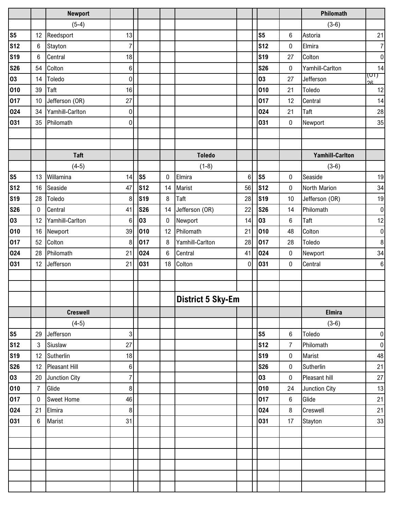|                |                 | <b>Newport</b>    |                  |            |                  |                          |                |                |                 | Philomath              |                |
|----------------|-----------------|-------------------|------------------|------------|------------------|--------------------------|----------------|----------------|-----------------|------------------------|----------------|
|                |                 | $(5-4)$           |                  |            |                  |                          |                |                |                 | $(3-6)$                |                |
| S <sub>5</sub> | 12              | Reedsport         | 13               |            |                  |                          |                | S <sub>5</sub> | $6\phantom{.}6$ | Astoria                | 21             |
| <b>S12</b>     | 6               | Stayton           | $\overline{7}$   |            |                  |                          |                | <b>S12</b>     | $\pmb{0}$       | Elmira                 | $\overline{7}$ |
| <b>S19</b>     | 6               | Central           | 18               |            |                  |                          |                | <b>S19</b>     | 27              | Colton                 | $\mathbf 0$    |
| <b>S26</b>     | 54              | Colton            | 6                |            |                  |                          |                | <b>S26</b>     | 0               | Yamhill-Carlton        | 14             |
| 03             | 14              | Toledo            | $\overline{0}$   |            |                  |                          |                | 03             | 27              | Jefferson              | (חט<br>26      |
| 010            | 39              | Taft              | 16               |            |                  |                          |                | 010            | 21              | Toledo                 | 12             |
| 017            | 10 <sup>°</sup> | Jefferson (OR)    | 27               |            |                  |                          |                | 017            | 12              | Central                | 14             |
| 024            | 34              | Yamhill-Carlton   | $\boldsymbol{0}$ |            |                  |                          |                | 024            | 21              | Taft                   | 28             |
| 031            | 35              | Philomath         | 0                |            |                  |                          |                | 031            | $\mathbf 0$     | Newport                | 35             |
|                |                 |                   |                  |            |                  |                          |                |                |                 |                        |                |
|                |                 |                   |                  |            |                  |                          |                |                |                 |                        |                |
|                |                 | <b>Taft</b>       |                  |            |                  | <b>Toledo</b>            |                |                |                 | <b>Yamhill-Carlton</b> |                |
|                |                 | $(4-5)$           |                  |            |                  | $(1-8)$                  |                |                |                 | $(3-6)$                |                |
| S <sub>5</sub> | 13              | Willamina         | 14               | S5         | $\boldsymbol{0}$ | Elmira                   | $6\phantom{.}$ | S <sub>5</sub> | $\pmb{0}$       | Seaside                | 19             |
| <b>S12</b>     | 16              | Seaside           | 47               | <b>S12</b> | 14               | Marist                   | 56             | <b>S12</b>     | 0               | North Marion           | 34             |
| <b>S19</b>     | 28              | Toledo            | 8                | <b>S19</b> | 8                | Taft                     | 28             | <b>S19</b>     | 10              | Jefferson (OR)         | 19             |
| <b>S26</b>     | $\mathbf 0$     | Central           | 41               | <b>S26</b> | 14               | Jefferson (OR)           | 22             | <b>S26</b>     | 14              | Philomath              | $\mathbf 0$    |
| 03             | 12              | Yamhill-Carlton   | 6                | 03         | 0                | Newport                  | 14             | 03             | 6               | Taft                   | 12             |
| 010            | 16              | Newport           | 39               | 010        | 12               | Philomath                | 21             | 010            | 48              | Colton                 | $\pmb{0}$      |
| 017            | 52              | Colton            | 8                | 017        | 8                | Yamhill-Carlton          | 28             | 017            | 28              | Toledo                 | $\bf 8$        |
| 024            | 28              | Philomath         | 21               | 024        | 6                | Central                  | 41             | 024            | 0               | Newport                | 34             |
| 031            | 12              | Jefferson         | 21               | 031        | 18               | Colton                   | $\overline{0}$ | 031            | $\pmb{0}$       | Central                | $\,6\,$        |
|                |                 |                   |                  |            |                  |                          |                |                |                 |                        |                |
|                |                 |                   |                  |            |                  |                          |                |                |                 |                        |                |
|                |                 |                   |                  |            |                  | <b>District 5 Sky-Em</b> |                |                |                 |                        |                |
|                |                 | <b>Creswell</b>   |                  |            |                  |                          |                |                |                 | <b>Elmira</b>          |                |
|                |                 | $(4-5)$           |                  |            |                  |                          |                |                |                 | $(3-6)$                |                |
| S <sub>5</sub> | 29              | Jefferson         | $\sqrt{3}$       |            |                  |                          |                | s <sub>5</sub> | 6               | Toledo                 | $\pmb{0}$      |
| <b>S12</b>     | $\mathbf{3}$    | Siuslaw           | 27               |            |                  |                          |                | <b>S12</b>     | $\overline{7}$  | Philomath              | $\pmb{0}$      |
| <b>S19</b>     | 12 <sup>°</sup> | Sutherlin         | 18               |            |                  |                          |                | <b>S19</b>     | $\pmb{0}$       | Marist                 | 48             |
| <b>S26</b>     | 12 <sup>°</sup> | Pleasant Hill     | 6 <sup>1</sup>   |            |                  |                          |                | <b>S26</b>     | $\pmb{0}$       | Sutherlin              | 21             |
| 03             | 20              | Junction City     | $\overline{7}$   |            |                  |                          |                | 03             | $\bf{0}$        | Pleasant hill          | $27\,$         |
| 010            | $\overline{7}$  | Glide             | 8                |            |                  |                          |                | 010            | 24              | Junction City          | 13             |
| 017            | $\mathbf 0$     | <b>Sweet Home</b> | 46               |            |                  |                          |                | 017            | 6               | Glide                  | 21             |
| 024            | 21              | Elmira            | 8                |            |                  |                          |                | 024            | 8               | Creswell               | 21             |
| 031            | 6               | Marist            | 31               |            |                  |                          |                | 031            | 17              | Stayton                | 33             |
|                |                 |                   |                  |            |                  |                          |                |                |                 |                        |                |
|                |                 |                   |                  |            |                  |                          |                |                |                 |                        |                |
|                |                 |                   |                  |            |                  |                          |                |                |                 |                        |                |
|                |                 |                   |                  |            |                  |                          |                |                |                 |                        |                |
|                |                 |                   |                  |            |                  |                          |                |                |                 |                        |                |
|                |                 |                   |                  |            |                  |                          |                |                |                 |                        |                |
|                |                 |                   |                  |            |                  |                          |                |                |                 |                        |                |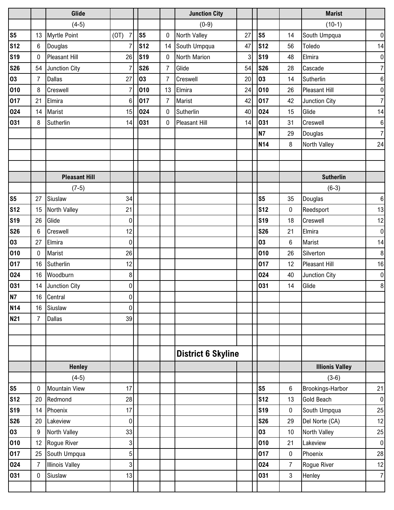|                |                 | Glide                  |                        |                |                | <b>Junction City</b>      |    |                |    | <b>Marist</b>          |                  |
|----------------|-----------------|------------------------|------------------------|----------------|----------------|---------------------------|----|----------------|----|------------------------|------------------|
|                |                 | $(4-5)$                |                        |                |                | $(0-9)$                   |    |                |    | $(10-1)$               |                  |
| s <sub>5</sub> | 13              | <b>Myrtle Point</b>    | $\overline{7}$<br>(0T) | S <sub>5</sub> | $\mathbf 0$    | <b>North Valley</b>       | 27 | S <sub>5</sub> | 14 | South Umpqua           | $\mathbf 0$      |
| <b>S12</b>     | $6\phantom{.0}$ | Douglas                | $\overline{7}$         | <b>S12</b>     | 14             | South Umpqua              | 47 | <b>S12</b>     | 56 | Toledo                 | 14               |
| <b>S19</b>     | $\mathbf 0$     | <b>Pleasant Hill</b>   | 26                     | <b>S19</b>     | $\mathbf{0}$   | North Marion              | 3  | <b>S19</b>     | 48 | Elmira                 | $\pmb{0}$        |
| <b>S26</b>     |                 | 54 Junction City       | $\overline{7}$         | <b>S26</b>     | $\overline{7}$ | Glide                     | 54 | <b>S26</b>     | 28 | Cascade                | $\boldsymbol{7}$ |
| 03             | $\overline{7}$  | <b>Dallas</b>          | 27                     | 03             | 7              | Creswell                  | 20 | 03             | 14 | Sutherlin              | $\,6$            |
| 010            | 8               | Creswell               | $\overline{7}$         | 010            | 13             | Elmira                    | 24 | 010            | 26 | Pleasant Hill          | $\pmb{0}$        |
| 017            | 21              | Elmira                 | 6 <sup>1</sup>         | 017            | $\overline{7}$ | Marist                    | 42 | 017            | 42 | Junction City          | $\overline{7}$   |
| 024            | 14              | Marist                 | 15                     | 024            | $\mathbf{0}$   | Sutherlin                 | 40 | 024            | 15 | Glide                  | 14               |
| 031            | 8               | Sutherlin              | 14                     | 031            | 0              | Pleasant Hill             | 14 | 031            | 31 | Creswell               | $\,6\,$          |
|                |                 |                        |                        |                |                |                           |    | <b>N7</b>      | 29 | Douglas                | $\boldsymbol{7}$ |
|                |                 |                        |                        |                |                |                           |    | <b>N14</b>     | 8  | North Valley           | 24               |
|                |                 |                        |                        |                |                |                           |    |                |    |                        |                  |
|                |                 |                        |                        |                |                |                           |    |                |    |                        |                  |
|                |                 | <b>Pleasant Hill</b>   |                        |                |                |                           |    |                |    | <b>Sutherlin</b>       |                  |
|                |                 | $(7-5)$                |                        |                |                |                           |    |                |    | $(6-3)$                |                  |
| S <sub>5</sub> | 27              | Siuslaw                | 34                     |                |                |                           |    | S <sub>5</sub> | 35 | Douglas                | $\,6\,$          |
| <b>S12</b>     | 15              | North Valley           | 21                     |                |                |                           |    | <b>S12</b>     | 0  | Reedsport              | 13               |
| <b>S19</b>     | 26              | Glide                  | $\overline{0}$         |                |                |                           |    | <b>S19</b>     | 18 | Creswell               | 12               |
| <b>S26</b>     | 6               | Creswell               | 12                     |                |                |                           |    | <b>S26</b>     | 21 | Elmira                 | $\mathbf 0$      |
| 03             | 27              | Elmira                 | $\overline{0}$         |                |                |                           |    | 03             | 6  | Marist                 | 14               |
| 010            | $\mathbf 0$     | Marist                 | 26                     |                |                |                           |    | 010            | 26 | Silverton              | 8                |
| 017            | 16              | Sutherlin              | 12                     |                |                |                           |    | 017            | 12 | <b>Pleasant Hill</b>   | 16               |
| 024            | 16              | Woodburn               | 8 <sup>1</sup>         |                |                |                           |    | 024            | 40 | Junction City          | $\pmb{0}$        |
| 031            | 14              | Junction City          | $\overline{0}$         |                |                |                           |    | 031            | 14 | Glide                  | 8                |
| N7             |                 | 16 Central             | 0                      |                |                |                           |    |                |    |                        |                  |
| <b>N14</b>     | 16              | Siuslaw                | $\overline{0}$         |                |                |                           |    |                |    |                        |                  |
| <b>N21</b>     | $\overline{7}$  | <b>Dallas</b>          | 39                     |                |                |                           |    |                |    |                        |                  |
|                |                 |                        |                        |                |                |                           |    |                |    |                        |                  |
|                |                 |                        |                        |                |                |                           |    |                |    |                        |                  |
|                |                 |                        |                        |                |                | <b>District 6 Skyline</b> |    |                |    |                        |                  |
|                |                 | <b>Henley</b>          |                        |                |                |                           |    |                |    | <b>Illionis Valley</b> |                  |
|                |                 | $(4-5)$                |                        |                |                |                           |    |                |    | $(3-6)$                |                  |
| S <sub>5</sub> | $\mathbf 0$     | <b>Mountain View</b>   | 17                     |                |                |                           |    | S <sub>5</sub> | 6  | Brookings-Harbor       | 21               |
| <b>S12</b>     | 20              | Redmond                | 28                     |                |                |                           |    | <b>S12</b>     | 13 | Gold Beach             | $\mathbf 0$      |
| <b>S19</b>     | 14              | Phoenix                | 17                     |                |                |                           |    | <b>S19</b>     | 0  | South Umpqua           | 25               |
| <b>S26</b>     | 20              | Lakeview               | $\overline{0}$         |                |                |                           |    | <b>S26</b>     | 29 | Del Norte (CA)         | 12               |
| 03             | $9\phantom{.0}$ | North Valley           | 33                     |                |                |                           |    | 03             | 10 | North Valley           | 25               |
| 010            | 12 <sup>°</sup> | Rogue River            | 3                      |                |                |                           |    | 010            | 21 | Lakeview               | $\pmb{0}$        |
| 017            | 25              | South Umpqua           | 5 <sub>l</sub>         |                |                |                           |    | 017            | 0  | Phoenix                | 28               |
| 024            | $\overline{7}$  | <b>Illinois Valley</b> | 3                      |                |                |                           |    | 024            | 7  | Rogue River            | 12               |
| 031            | $\pmb{0}$       | Siuslaw                | 13                     |                |                |                           |    | 031            | 3  | Henley                 | $\overline{7}$   |
|                |                 |                        |                        |                |                |                           |    |                |    |                        |                  |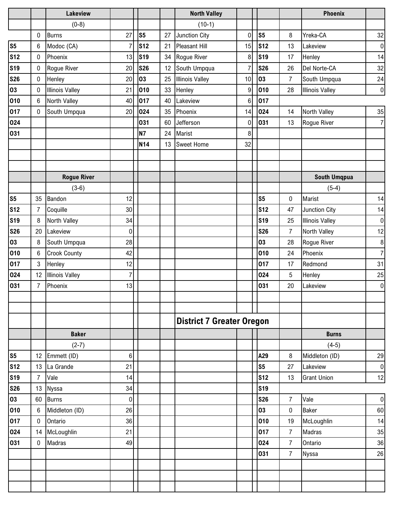|                |                | Lakeview               |                |                |    | <b>North Valley</b>              |    |                |                | <b>Phoenix</b>         |                  |
|----------------|----------------|------------------------|----------------|----------------|----|----------------------------------|----|----------------|----------------|------------------------|------------------|
|                |                | $(0-8)$                |                |                |    | $(10-1)$                         |    |                |                |                        |                  |
|                | 0              | <b>Burns</b>           | 27             | S <sub>5</sub> | 27 | Junction City                    | 0  | S <sub>5</sub> | 8              | Yreka-CA               | 32               |
| S <sub>5</sub> | 6              | Modoc (CA)             | $\overline{7}$ | <b>S12</b>     | 21 | <b>Pleasant Hill</b>             | 15 | <b>S12</b>     | 13             | Lakeview               | $\pmb{0}$        |
| <b>S12</b>     | 0              | Phoenix                | 13             | <b>S19</b>     | 34 | Rogue River                      | 8  | <b>S19</b>     | 17             | Henley                 | 14               |
| <b>S19</b>     | $\mathbf 0$    | Rogue River            | 20             | <b>S26</b>     | 12 | South Umpqua                     | 7  | <b>S26</b>     | 26             | Del Norte-CA           | 32               |
| <b>S26</b>     | $\pmb{0}$      | Henley                 | 20             | 03             | 25 | <b>Illinois Valley</b>           | 10 | 03             | $\overline{7}$ | South Umpqua           | 24               |
| 03             | 0              | <b>Illinois Valley</b> | 21             | 010            | 33 | Henley                           | 9  | 010            | 28             | <b>Illinois Valley</b> | $\pmb{0}$        |
| 010            | 6              | North Valley           | 40             | 017            | 40 | Lakeview                         | 6  | 017            |                |                        |                  |
| 017            | 0              | South Umpqua           | 20             | 024            | 35 | Phoenix                          | 14 | 024            | 14             | North Valley           | 35               |
| 024            |                |                        |                | 031            | 60 | Jefferson                        | 0  | 031            | 13             | Rogue River            | $\overline{7}$   |
| 031            |                |                        |                | <b>N7</b>      | 24 | Marist                           | 8  |                |                |                        |                  |
|                |                |                        |                | <b>N14</b>     | 13 | <b>Sweet Home</b>                | 32 |                |                |                        |                  |
|                |                |                        |                |                |    |                                  |    |                |                |                        |                  |
|                |                | <b>Rogue River</b>     |                |                |    |                                  |    |                |                | <b>South Umqpua</b>    |                  |
|                |                | $(3-6)$                |                |                |    |                                  |    |                |                | $(5-4)$                |                  |
| S <sub>5</sub> | 35             | Bandon                 | 12             |                |    |                                  |    | S <sub>5</sub> | 0              | Marist                 | 14               |
| <b>S12</b>     | $\overline{7}$ | Coquille               | 30             |                |    |                                  |    | <b>S12</b>     | 47             | Junction City          | 14               |
| <b>S19</b>     | 8              | North Valley           | 34             |                |    |                                  |    | <b>S19</b>     | 25             | <b>Illinois Valley</b> | $\boldsymbol{0}$ |
| <b>S26</b>     | 20             | Lakeview               | $\pmb{0}$      |                |    |                                  |    | <b>S26</b>     | $\overline{7}$ | North Valley           | 12               |
| 03             | 8              | South Umpqua           | 28             |                |    |                                  |    | 03             | 28             | Rogue River            | $\,8\,$          |
| 010            | 6              | <b>Crook County</b>    | 42             |                |    |                                  |    | 010            | 24             | Phoenix                | $\overline{7}$   |
| 017            | $\mathbf{3}$   | Henley                 | 12             |                |    |                                  |    | 017            | 17             | Redmond                | 31               |
| 024            | 12             | <b>Illinois Valley</b> | $\overline{7}$ |                |    |                                  |    | 024            | 5              | Henley                 | 25               |
| 031            | $\overline{7}$ | Phoenix                | 13             |                |    |                                  |    | 031            | 20             | Lakeview               | $\pmb{0}$        |
|                |                |                        |                |                |    |                                  |    |                |                |                        |                  |
|                |                |                        |                |                |    |                                  |    |                |                |                        |                  |
|                |                |                        |                |                |    | <b>District 7 Greater Oregon</b> |    |                |                |                        |                  |
|                |                | <b>Baker</b>           |                |                |    |                                  |    |                |                | <b>Burns</b>           |                  |
|                |                | $(2-7)$                |                |                |    |                                  |    |                |                | $(4-5)$                |                  |
| S <sub>5</sub> | 12             | Emmett (ID)            | 6              |                |    |                                  |    | A29            | 8              | Middleton (ID)         | 29               |
| <b>S12</b>     | 13             | La Grande              | 21             |                |    |                                  |    | S <sub>5</sub> | 27             | Lakeview               | $\pmb{0}$        |
| <b>S19</b>     | $\overline{7}$ | Vale                   | 14             |                |    |                                  |    | <b>S12</b>     | 13             | <b>Grant Union</b>     | 12               |
| <b>S26</b>     | 13             | Nyssa                  | 34             |                |    |                                  |    | <b>S19</b>     |                |                        |                  |
| 03             | 60             | <b>Burns</b>           | 0              |                |    |                                  |    | <b>S26</b>     | 7              | Vale                   | $\pmb{0}$        |
| 010            | 6              | Middleton (ID)         | 26             |                |    |                                  |    | 03             | 0              | <b>Baker</b>           | 60               |
| 017            | 0              | Ontario                | 36             |                |    |                                  |    | 010            | 19             | McLoughlin             | 14               |
| 024            | 14             | McLoughlin             | 21             |                |    |                                  |    | 017            | $\overline{7}$ | Madras                 | 35               |
| 031            | 0              | Madras                 | 49             |                |    |                                  |    | 024            | $\overline{7}$ | Ontario                | 36               |
|                |                |                        |                |                |    |                                  |    | 031            | 7              | Nyssa                  | 26               |
|                |                |                        |                |                |    |                                  |    |                |                |                        |                  |
|                |                |                        |                |                |    |                                  |    |                |                |                        |                  |
|                |                |                        |                |                |    |                                  |    |                |                |                        |                  |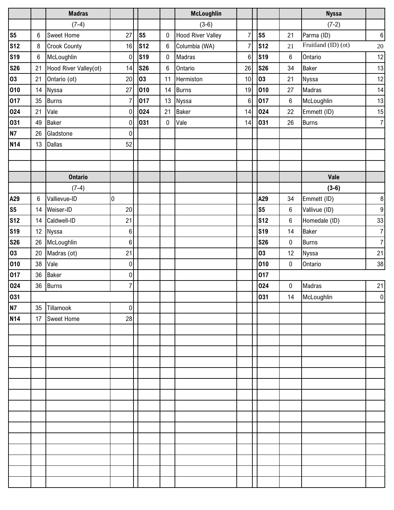|                |    | <b>Madras</b>         |                |                |                  | <b>McLoughlin</b>        |                |                |                  | <b>Nyssa</b>        |                  |
|----------------|----|-----------------------|----------------|----------------|------------------|--------------------------|----------------|----------------|------------------|---------------------|------------------|
|                |    | $(7-4)$               |                |                |                  | $(3-6)$                  |                |                |                  | $(7-2)$             |                  |
| S <sub>5</sub> | 6  | <b>Sweet Home</b>     | 27             | S <sub>5</sub> | $\boldsymbol{0}$ | <b>Hood River Valley</b> | $\overline{7}$ | S <sub>5</sub> | 21               | Parma (ID)          | $6 \overline{6}$ |
| <b>S12</b>     | 8  | <b>Crook County</b>   | 16             | <b>S12</b>     | $6\phantom{1}6$  | Columbia (WA)            | 7              | <b>S12</b>     | 21               | Fruitland (ID) (ot) | $20\,$           |
| <b>S19</b>     | 6  | McLoughlin            | 0              | <b>S19</b>     | $\boldsymbol{0}$ | Madras                   | 6              | <b>S19</b>     | $\boldsymbol{6}$ | Ontario             | 12               |
| <b>S26</b>     | 21 | Hood River Valley(ot) | 14             | <b>S26</b>     | $\,6\,$          | Ontario                  | 26             | <b>S26</b>     | 34               | <b>Baker</b>        | 13               |
| 03             | 21 | Ontario (ot)          | 20             | 03             | 11               | Hermiston                | 10             | 03             | 21               | Nyssa               | 12               |
| 010            | 14 | Nyssa                 | 27             | 010            | 14               | <b>Burns</b>             | 19             | 010            | 27               | Madras              | 14               |
| 017            | 35 | <b>Burns</b>          | $\overline{7}$ | 017            | 13               | Nyssa                    | $\,6$          | 017            | $6\,$            | McLoughlin          | 13               |
| 024            | 21 | Vale                  | $\pmb{0}$      | 024            | 21               | <b>Baker</b>             | 14             | 024            | 22               | Emmett (ID)         | 15               |
| 031            | 49 | <b>Baker</b>          | $\overline{0}$ | 031            | $\boldsymbol{0}$ | Vale                     | 14             | 031            | 26               | <b>Burns</b>        | $\overline{7}$   |
| <b>N7</b>      | 26 | Gladstone             | $\pmb{0}$      |                |                  |                          |                |                |                  |                     |                  |
| <b>N14</b>     | 13 | <b>Dallas</b>         | 52             |                |                  |                          |                |                |                  |                     |                  |
|                |    |                       |                |                |                  |                          |                |                |                  |                     |                  |
|                |    |                       |                |                |                  |                          |                |                |                  |                     |                  |
|                |    | <b>Ontario</b>        |                |                |                  |                          |                |                |                  | Vale                |                  |
|                |    | $(7-4)$               |                |                |                  |                          |                |                |                  | $(3-6)$             |                  |
| A29            | 6  | Vallievue-ID          | 0              |                |                  |                          |                | A29            | 34               | Emmett (ID)         | $\boldsymbol{8}$ |
| S <sub>5</sub> | 14 | Weiser-ID             | $20\,$         |                |                  |                          |                | S <sub>5</sub> | $6\phantom{.0}$  | Vallivue (ID)       | $\boldsymbol{9}$ |
| <b>S12</b>     | 14 | Caldwell-ID           | 21             |                |                  |                          |                | <b>S12</b>     | $6\,$            | Homedale (ID)       | 33               |
| <b>S19</b>     | 12 | Nyssa                 | 6              |                |                  |                          |                | <b>S19</b>     | 14               | <b>Baker</b>        | $\overline{7}$   |
| <b>S26</b>     | 26 | McLoughlin            | 6              |                |                  |                          |                | <b>S26</b>     | $\bf 0$          | <b>Burns</b>        | $\overline{7}$   |
| 03             | 20 | Madras (ot)           | 21             |                |                  |                          |                | 03             | 12               | Nyssa               | 21               |
| 010            | 38 | Vale                  | $\pmb{0}$      |                |                  |                          |                | 010            | $\pmb{0}$        | Ontario             | 38               |
| 017            | 36 | <b>Baker</b>          | $\overline{0}$ |                |                  |                          |                | 017            |                  |                     |                  |
| 024            | 36 | <b>Burns</b>          | $\overline{7}$ |                |                  |                          |                | 024            | $\pmb{0}$        | Madras              | 21               |
| 031            |    |                       |                |                |                  |                          |                | 031            | 14               | McLoughlin          | $\Omega$         |
| <b>N7</b>      |    | 35 Tillamook          | 0              |                |                  |                          |                |                |                  |                     |                  |
| <b>N14</b>     | 17 | <b>Sweet Home</b>     | 28             |                |                  |                          |                |                |                  |                     |                  |
|                |    |                       |                |                |                  |                          |                |                |                  |                     |                  |
|                |    |                       |                |                |                  |                          |                |                |                  |                     |                  |
|                |    |                       |                |                |                  |                          |                |                |                  |                     |                  |
|                |    |                       |                |                |                  |                          |                |                |                  |                     |                  |
|                |    |                       |                |                |                  |                          |                |                |                  |                     |                  |
|                |    |                       |                |                |                  |                          |                |                |                  |                     |                  |
|                |    |                       |                |                |                  |                          |                |                |                  |                     |                  |
|                |    |                       |                |                |                  |                          |                |                |                  |                     |                  |
|                |    |                       |                |                |                  |                          |                |                |                  |                     |                  |
|                |    |                       |                |                |                  |                          |                |                |                  |                     |                  |
|                |    |                       |                |                |                  |                          |                |                |                  |                     |                  |
|                |    |                       |                |                |                  |                          |                |                |                  |                     |                  |
|                |    |                       |                |                |                  |                          |                |                |                  |                     |                  |
|                |    |                       |                |                |                  |                          |                |                |                  |                     |                  |
|                |    |                       |                |                |                  |                          |                |                |                  |                     |                  |